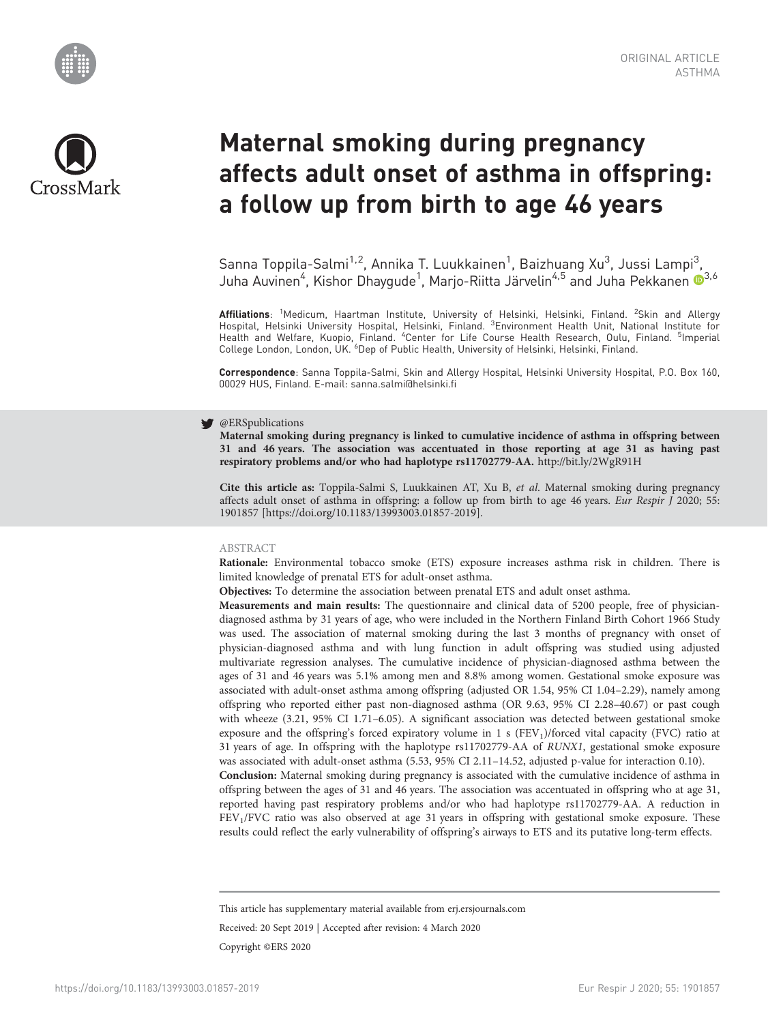



# Maternal smoking during pregnancy affects adult onset of asthma in offspring: a follow up from birth to age 46 years

Sanna Toppila-Salmi<sup>1,2</sup>, Annika T. Luukkainen<sup>1</sup>, Baizhuang Xu<sup>3</sup>, Jussi Lampi<sup>3</sup>, Juha Auvinen<sup>4</sup>, Kishor Dhaygude<sup>1</sup>, Marjo-Riitta Järvelin<sup>4,5</sup> and Juha Pekkanen ®<sup>3,6</sup>

**Affiliations**: <sup>1</sup>Medicum, Haartman Institute, University of Helsinki, Helsinki, Finland. <sup>2</sup>Skin and Allergy<br>Hospital, Helsinki University Hospital, Helsinki, Finland. <sup>3</sup>Environment Health Unit, National Institute for<br>H College London, London, UK. <sup>6</sup>Dep of Public Health, University of Helsinki, Helsinki, Finland.

Correspondence: Sanna Toppila-Salmi, Skin and Allergy Hospital, Helsinki University Hospital, P.O. Box 160, 00029 HUS, Finland. E-mail: [sanna.salmi@helsinki.fi](mailto:sanna.salmi@helsinki.fi)

## **S** @ERSpublications

Maternal smoking during pregnancy is linked to cumulative incidence of asthma in offspring between 31 and 46 years. The association was accentuated in those reporting at age 31 as having past respiratory problems and/or who had haplotype rs11702779-AA. <http://bit.ly/2WgR91H>

Cite this article as: Toppila-Salmi S, Luukkainen AT, Xu B, et al. Maternal smoking during pregnancy affects adult onset of asthma in offspring: a follow up from birth to age 46 years. Eur Respir J 2020; 55: 1901857 [\[https://doi.org/10.1183/13993003.01857-2019\].](https://doi.org/10.1183/13993003.01857-2019)

#### ABSTRACT

Rationale: Environmental tobacco smoke (ETS) exposure increases asthma risk in children. There is limited knowledge of prenatal ETS for adult-onset asthma.

Objectives: To determine the association between prenatal ETS and adult onset asthma.

Measurements and main results: The questionnaire and clinical data of 5200 people, free of physiciandiagnosed asthma by 31 years of age, who were included in the Northern Finland Birth Cohort 1966 Study was used. The association of maternal smoking during the last 3 months of pregnancy with onset of physician-diagnosed asthma and with lung function in adult offspring was studied using adjusted multivariate regression analyses. The cumulative incidence of physician-diagnosed asthma between the ages of 31 and 46 years was 5.1% among men and 8.8% among women. Gestational smoke exposure was associated with adult-onset asthma among offspring (adjusted OR 1.54, 95% CI 1.04–2.29), namely among offspring who reported either past non-diagnosed asthma (OR 9.63, 95% CI 2.28–40.67) or past cough with wheeze (3.21, 95% CI 1.71–6.05). A significant association was detected between gestational smoke exposure and the offspring's forced expiratory volume in 1 s (FEV<sub>1</sub>)/forced vital capacity (FVC) ratio at 31 years of age. In offspring with the haplotype rs11702779-AA of RUNX1, gestational smoke exposure was associated with adult-onset asthma (5.53, 95% CI 2.11–14.52, adjusted p-value for interaction 0.10).

Conclusion: Maternal smoking during pregnancy is associated with the cumulative incidence of asthma in offspring between the ages of 31 and 46 years. The association was accentuated in offspring who at age 31, reported having past respiratory problems and/or who had haplotype rs11702779-AA. A reduction in FEV1/FVC ratio was also observed at age 31 years in offspring with gestational smoke exposure. These results could reflect the early vulnerability of offspring's airways to ETS and its putative long-term effects.

This article has supplementary material available from<erj.ersjournals.com>

Received: 20 Sept 2019 | Accepted after revision: 4 March 2020 Copyright ©ERS 2020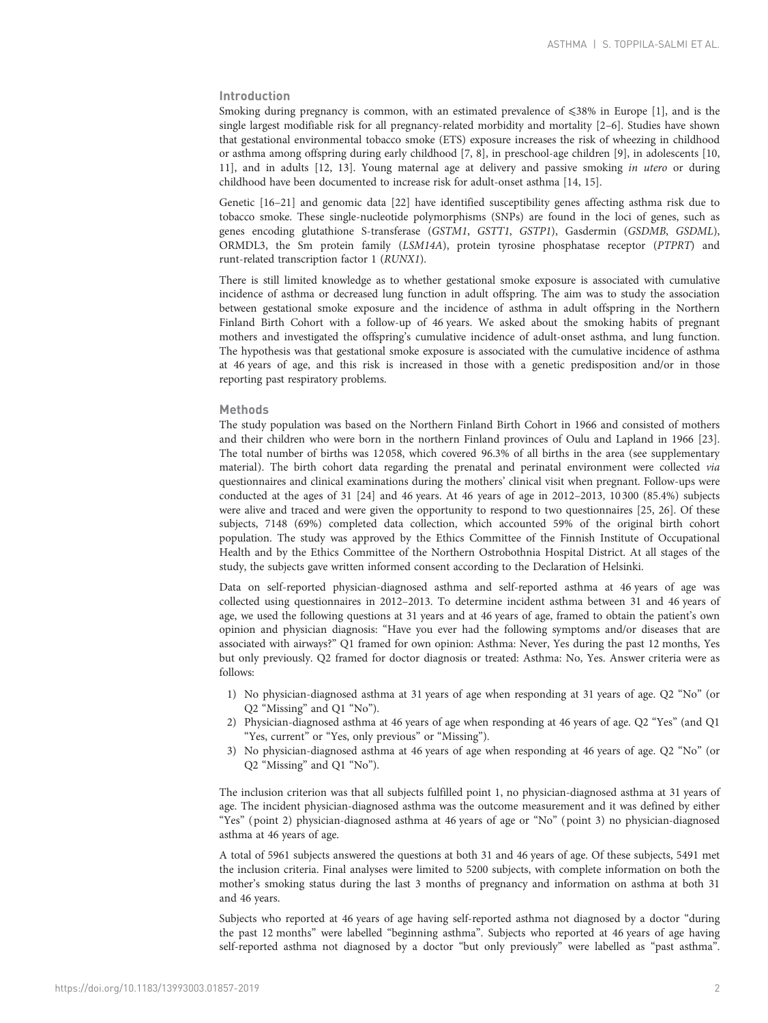# Introduction

Smoking during pregnancy is common, with an estimated prevalence of  $\leq 38\%$  in Europe [[1\]](#page-9-0), and is the single largest modifiable risk for all pregnancy-related morbidity and mortality [\[2](#page-9-0)–[6\]](#page-9-0). Studies have shown that gestational environmental tobacco smoke (ETS) exposure increases the risk of wheezing in childhood or asthma among offspring during early childhood [\[7, 8\]](#page-9-0), in preschool-age children [\[9](#page-9-0)], in adolescents [[10](#page-9-0), [11\]](#page-9-0), and in adults [\[12, 13\]](#page-9-0). Young maternal age at delivery and passive smoking in utero or during childhood have been documented to increase risk for adult-onset asthma [[14, 15\]](#page-9-0).

Genetic [\[16](#page-9-0)–[21](#page-9-0)] and genomic data [\[22](#page-9-0)] have identified susceptibility genes affecting asthma risk due to tobacco smoke. These single-nucleotide polymorphisms (SNPs) are found in the loci of genes, such as genes encoding glutathione S-transferase (GSTM1, GSTT1, GSTP1), Gasdermin (GSDMB, GSDML), ORMDL3, the Sm protein family (LSM14A), protein tyrosine phosphatase receptor (PTPRT) and runt-related transcription factor 1 (RUNX1).

There is still limited knowledge as to whether gestational smoke exposure is associated with cumulative incidence of asthma or decreased lung function in adult offspring. The aim was to study the association between gestational smoke exposure and the incidence of asthma in adult offspring in the Northern Finland Birth Cohort with a follow-up of 46 years. We asked about the smoking habits of pregnant mothers and investigated the offspring's cumulative incidence of adult-onset asthma, and lung function. The hypothesis was that gestational smoke exposure is associated with the cumulative incidence of asthma at 46 years of age, and this risk is increased in those with a genetic predisposition and/or in those reporting past respiratory problems.

## Methods

The study population was based on the Northern Finland Birth Cohort in 1966 and consisted of mothers and their children who were born in the northern Finland provinces of Oulu and Lapland in 1966 [[23](#page-9-0)]. The total number of births was 12 058, which covered 96.3% of all births in the area (see [supplementary](http://erj.ersjournals.com/lookup/doi/10.1183/13993003.01857-2019.figures-only#fig-data-supplementary-materials) [material](http://erj.ersjournals.com/lookup/doi/10.1183/13993003.01857-2019.figures-only#fig-data-supplementary-materials)). The birth cohort data regarding the prenatal and perinatal environment were collected via questionnaires and clinical examinations during the mothers' clinical visit when pregnant. Follow-ups were conducted at the ages of 31 [[24](#page-9-0)] and 46 years. At 46 years of age in 2012–2013, 10 300 (85.4%) subjects were alive and traced and were given the opportunity to respond to two questionnaires [\[25, 26](#page-9-0)]. Of these subjects, 7148 (69%) completed data collection, which accounted 59% of the original birth cohort population. The study was approved by the Ethics Committee of the Finnish Institute of Occupational Health and by the Ethics Committee of the Northern Ostrobothnia Hospital District. At all stages of the study, the subjects gave written informed consent according to the Declaration of Helsinki.

Data on self-reported physician-diagnosed asthma and self-reported asthma at 46 years of age was collected using questionnaires in 2012–2013. To determine incident asthma between 31 and 46 years of age, we used the following questions at 31 years and at 46 years of age, framed to obtain the patient's own opinion and physician diagnosis: "Have you ever had the following symptoms and/or diseases that are associated with airways?" Q1 framed for own opinion: Asthma: Never, Yes during the past 12 months, Yes but only previously. Q2 framed for doctor diagnosis or treated: Asthma: No, Yes. Answer criteria were as follows:

- 1) No physician-diagnosed asthma at 31 years of age when responding at 31 years of age. Q2 "No" (or Q2 "Missing" and Q1 "No").
- 2) Physician-diagnosed asthma at 46 years of age when responding at 46 years of age. Q2 "Yes" (and Q1 "Yes, current" or "Yes, only previous" or "Missing").
- 3) No physician-diagnosed asthma at 46 years of age when responding at 46 years of age. Q2 "No" (or Q2 "Missing" and Q1 "No").

The inclusion criterion was that all subjects fulfilled point 1, no physician-diagnosed asthma at 31 years of age. The incident physician-diagnosed asthma was the outcome measurement and it was defined by either "Yes" ( point 2) physician-diagnosed asthma at 46 years of age or "No" ( point 3) no physician-diagnosed asthma at 46 years of age.

A total of 5961 subjects answered the questions at both 31 and 46 years of age. Of these subjects, 5491 met the inclusion criteria. Final analyses were limited to 5200 subjects, with complete information on both the mother's smoking status during the last 3 months of pregnancy and information on asthma at both 31 and 46 years.

Subjects who reported at 46 years of age having self-reported asthma not diagnosed by a doctor "during the past 12 months" were labelled "beginning asthma". Subjects who reported at 46 years of age having self-reported asthma not diagnosed by a doctor "but only previously" were labelled as "past asthma".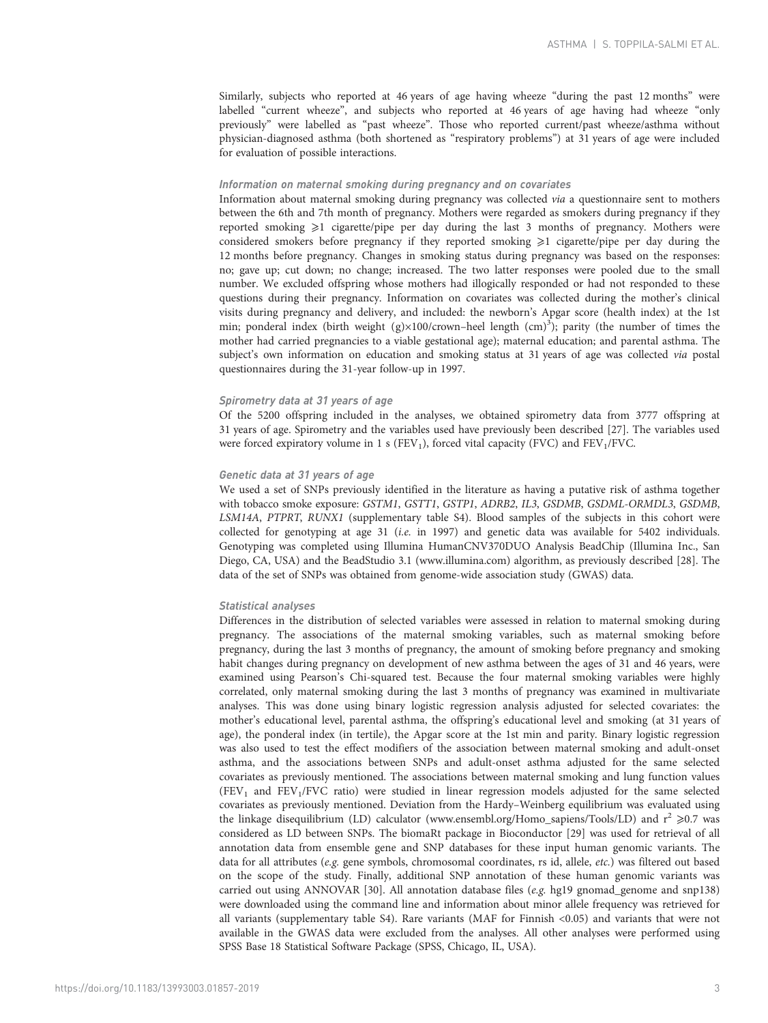Similarly, subjects who reported at 46 years of age having wheeze "during the past 12 months" were labelled "current wheeze", and subjects who reported at 46 years of age having had wheeze "only previously" were labelled as "past wheeze". Those who reported current/past wheeze/asthma without physician-diagnosed asthma (both shortened as "respiratory problems") at 31 years of age were included for evaluation of possible interactions.

## Information on maternal smoking during pregnancy and on covariates

Information about maternal smoking during pregnancy was collected via a questionnaire sent to mothers between the 6th and 7th month of pregnancy. Mothers were regarded as smokers during pregnancy if they reported smoking  $\geq 1$  cigarette/pipe per day during the last 3 months of pregnancy. Mothers were considered smokers before pregnancy if they reported smoking  $\geq 1$  cigarette/pipe per day during the 12 months before pregnancy. Changes in smoking status during pregnancy was based on the responses: no; gave up; cut down; no change; increased. The two latter responses were pooled due to the small number. We excluded offspring whose mothers had illogically responded or had not responded to these questions during their pregnancy. Information on covariates was collected during the mother's clinical visits during pregnancy and delivery, and included: the newborn's Apgar score (health index) at the 1st min; ponderal index (birth weight (g)×100/crown-heel length (cm)<sup>3</sup>); parity (the number of times the mother had carried pregnancies to a viable gestational age); maternal education; and parental asthma. The subject's own information on education and smoking status at 31 years of age was collected via postal questionnaires during the 31-year follow-up in 1997.

## Spirometry data at 31 years of age

Of the 5200 offspring included in the analyses, we obtained spirometry data from 3777 offspring at 31 years of age. Spirometry and the variables used have previously been described [\[27\]](#page-9-0). The variables used were forced expiratory volume in 1 s ( $FEV<sub>1</sub>$ ), forced vital capacity ( $FVC$ ) and  $FEV<sub>1</sub>/FVC$ .

#### Genetic data at 31 years of age

We used a set of SNPs previously identified in the literature as having a putative risk of asthma together with tobacco smoke exposure: GSTM1, GSTT1, GSTP1, ADRB2, IL3, GSDMB, GSDML-ORMDL3, GSDMB, LSM14A, PTPRT, RUNX1 (supplementary [table S4\)](http://erj.ersjournals.com/lookup/doi/10.1183/13993003.01857-2019.figures-only#fig-data-supplementary-materials). Blood samples of the subjects in this cohort were collected for genotyping at age 31 (i.e. in 1997) and genetic data was available for 5402 individuals. Genotyping was completed using Illumina HumanCNV370DUO Analysis BeadChip (Illumina Inc., San Diego, CA, USA) and the BeadStudio 3.1 (www.illumina.com) algorithm, as previously described [[28\]](#page-9-0). The data of the set of SNPs was obtained from genome-wide association study (GWAS) data.

#### Statistical analyses

Differences in the distribution of selected variables were assessed in relation to maternal smoking during pregnancy. The associations of the maternal smoking variables, such as maternal smoking before pregnancy, during the last 3 months of pregnancy, the amount of smoking before pregnancy and smoking habit changes during pregnancy on development of new asthma between the ages of 31 and 46 years, were examined using Pearson's Chi-squared test. Because the four maternal smoking variables were highly correlated, only maternal smoking during the last 3 months of pregnancy was examined in multivariate analyses. This was done using binary logistic regression analysis adjusted for selected covariates: the mother's educational level, parental asthma, the offspring's educational level and smoking (at 31 years of age), the ponderal index (in tertile), the Apgar score at the 1st min and parity. Binary logistic regression was also used to test the effect modifiers of the association between maternal smoking and adult-onset asthma, and the associations between SNPs and adult-onset asthma adjusted for the same selected covariates as previously mentioned. The associations between maternal smoking and lung function values  $(FEV<sub>1</sub>$  and  $FEV<sub>1</sub>/FVC$  ratio) were studied in linear regression models adjusted for the same selected covariates as previously mentioned. Deviation from the Hardy–Weinberg equilibrium was evaluated using the linkage disequilibrium (LD) calculator [\(www.ensembl.org/Homo\\_sapiens/Tools/LD\)](http://www.ensembl.org/Homo_sapiens/Tools/LD) and  $r^2 \ge 0.7$  was considered as LD between SNPs. The biomaRt package in Bioconductor [[29](#page-9-0)] was used for retrieval of all annotation data from ensemble gene and SNP databases for these input human genomic variants. The data for all attributes (e.g. gene symbols, chromosomal coordinates, rs id, allele, etc.) was filtered out based on the scope of the study. Finally, additional SNP annotation of these human genomic variants was carried out using ANNOVAR [\[30\]](#page-9-0). All annotation database files (e.g. hg19 gnomad\_genome and snp138) were downloaded using the command line and information about minor allele frequency was retrieved for all variants (supplementary [table S4](http://erj.ersjournals.com/lookup/doi/10.1183/13993003.01857-2019.figures-only#fig-data-supplementary-materials)). Rare variants (MAF for Finnish <0.05) and variants that were not available in the GWAS data were excluded from the analyses. All other analyses were performed using SPSS Base 18 Statistical Software Package (SPSS, Chicago, IL, USA).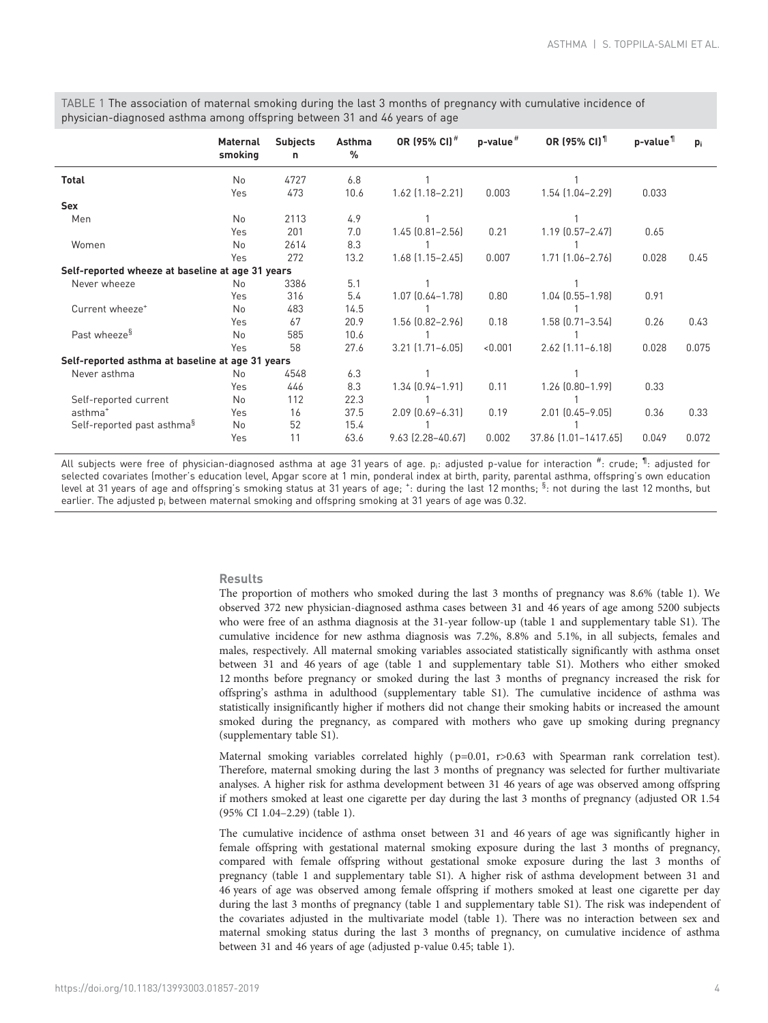<span id="page-3-0"></span>TABLE 1 The association of maternal smoking during the last 3 months of pregnancy with cumulative incidence of physician-diagnosed asthma among offspring between 31 and 46 years of age

|                                                  | Maternal<br>smoking | <b>Subjects</b><br>n | Asthma<br>$\%$ | OR (95% CI) <sup>#</sup> | $p$ -value $#$ | <b>OR (95% CI)</b> <sup>11</sup> | p-value <sup>11</sup> | $p_i$ |
|--------------------------------------------------|---------------------|----------------------|----------------|--------------------------|----------------|----------------------------------|-----------------------|-------|
| <b>Total</b>                                     | No                  | 4727                 | 6.8            |                          |                |                                  |                       |       |
|                                                  | Yes                 | 473                  | 10.6           | 1.62 (1.18-2.21)         | 0.003          | $1.54$ $(1.04 - 2.29)$           | 0.033                 |       |
| <b>Sex</b>                                       |                     |                      |                |                          |                |                                  |                       |       |
| Men                                              | No                  | 2113                 | 4.9            |                          |                |                                  |                       |       |
|                                                  | Yes                 | 201                  | 7.0            | $1.45$ $[0.81 - 2.56]$   | 0.21           | $1.19$ $(0.57 - 2.47)$           | 0.65                  |       |
| Women                                            | No                  | 2614                 | 8.3            |                          |                |                                  |                       |       |
|                                                  | Yes                 | 272                  | 13.2           | $1.68$ $(1.15 - 2.45)$   | 0.007          | $1.71$ $[1.06 - 2.76]$           | 0.028                 | 0.45  |
| Self-reported wheeze at baseline at age 31 years |                     |                      |                |                          |                |                                  |                       |       |
| Never wheeze                                     | <b>No</b>           | 3386                 | 5.1            |                          |                |                                  |                       |       |
|                                                  | Yes                 | 316                  | 5.4            | $1.07$ $[0.64 - 1.78]$   | 0.80           | $1.04$ $(0.55 - 1.98)$           | 0.91                  |       |
| Current wheeze <sup>+</sup>                      | No                  | 483                  | 14.5           |                          |                |                                  |                       |       |
|                                                  | Yes                 | 67                   | 20.9           | 1.56 (0.82-2.96)         | 0.18           | $1.58$ $(0.71 - 3.54)$           | 0.26                  | 0.43  |
| Past wheeze <sup>§</sup>                         | No                  | 585                  | 10.6           |                          |                |                                  |                       |       |
|                                                  | Yes                 | 58                   | 27.6           | $3.21$ $[1.71 - 6.05]$   | < 0.001        | $2.62$ $[1.11 - 6.18]$           | 0.028                 | 0.075 |
| Self-reported asthma at baseline at age 31 years |                     |                      |                |                          |                |                                  |                       |       |
| Never asthma                                     | No                  | 4548                 | 6.3            |                          |                |                                  |                       |       |
|                                                  | Yes                 | 446                  | 8.3            | 1.34 (0.94-1.91)         | 0.11           | $1.26$ $[0.80-1.99]$             | 0.33                  |       |
| Self-reported current                            | No                  | 112                  | 22.3           |                          |                |                                  |                       |       |
| asthma <sup>+</sup>                              | Yes                 | 16                   | 37.5           | 2.09 (0.69-6.31)         | 0.19           | $2.01$ $(0.45 - 9.05)$           | 0.36                  | 0.33  |
| Self-reported past asthma <sup>§</sup>           | <b>No</b>           | 52                   | 15.4           |                          |                |                                  |                       |       |
|                                                  | Yes                 | 11                   | 63.6           | $9.63$ $(2.28 - 40.67)$  | 0.002          | 37.86 [1.01-1417.65]             | 0.049                 | 0.072 |

All subjects were free of physician-diagnosed asthma at age 31 years of age.  $p_i$ : adjusted p-value for interaction  $^{\#}$ : crude;  $^{\P}$ : adjusted for selected covariates (mother's education level, Apgar score at 1 min, ponderal index at birth, parity, parental asthma, offspring's own education level at 31 years of age and offspring's smoking status at 31 years of age; <sup>+</sup>: during the last 12 months; <sup>§</sup>: not during the last 12 months, but earlier. The adjusted  $p_i$  between maternal smoking and offspring smoking at 31 years of age was 0.32.

## Results

The proportion of mothers who smoked during the last 3 months of pregnancy was 8.6% (table 1). We observed 372 new physician-diagnosed asthma cases between 31 and 46 years of age among 5200 subjects who were free of an asthma diagnosis at the 31-year follow-up (table 1 and supplementary [table S1](http://erj.ersjournals.com/lookup/doi/10.1183/13993003.01857-2019.figures-only#fig-data-supplementary-materials)). The cumulative incidence for new asthma diagnosis was 7.2%, 8.8% and 5.1%, in all subjects, females and males, respectively. All maternal smoking variables associated statistically significantly with asthma onset between 31 and 46 years of age (table 1 and supplementary [table S1\)](http://erj.ersjournals.com/lookup/doi/10.1183/13993003.01857-2019.figures-only#fig-data-supplementary-materials). Mothers who either smoked 12 months before pregnancy or smoked during the last 3 months of pregnancy increased the risk for offspring's asthma in adulthood (supplementary [table S1\)](http://erj.ersjournals.com/lookup/doi/10.1183/13993003.01857-2019.figures-only#fig-data-supplementary-materials). The cumulative incidence of asthma was statistically insignificantly higher if mothers did not change their smoking habits or increased the amount smoked during the pregnancy, as compared with mothers who gave up smoking during pregnancy (supplementary [table S1\)](http://erj.ersjournals.com/lookup/doi/10.1183/13993003.01857-2019.figures-only#fig-data-supplementary-materials).

Maternal smoking variables correlated highly (p=0.01, r>0.63 with Spearman rank correlation test). Therefore, maternal smoking during the last 3 months of pregnancy was selected for further multivariate analyses. A higher risk for asthma development between 31 46 years of age was observed among offspring if mothers smoked at least one cigarette per day during the last 3 months of pregnancy (adjusted OR 1.54 (95% CI 1.04–2.29) (table 1).

The cumulative incidence of asthma onset between 31 and 46 years of age was significantly higher in female offspring with gestational maternal smoking exposure during the last 3 months of pregnancy, compared with female offspring without gestational smoke exposure during the last 3 months of pregnancy (table 1 and supplementary [table S1\)](http://erj.ersjournals.com/lookup/doi/10.1183/13993003.01857-2019.figures-only#fig-data-supplementary-materials). A higher risk of asthma development between 31 and 46 years of age was observed among female offspring if mothers smoked at least one cigarette per day during the last 3 months of pregnancy (table 1 and supplementary [table S1\)](http://erj.ersjournals.com/lookup/doi/10.1183/13993003.01857-2019.figures-only#fig-data-supplementary-materials). The risk was independent of the covariates adjusted in the multivariate model (table 1). There was no interaction between sex and maternal smoking status during the last 3 months of pregnancy, on cumulative incidence of asthma between 31 and 46 years of age (adjusted p-value 0.45; table 1).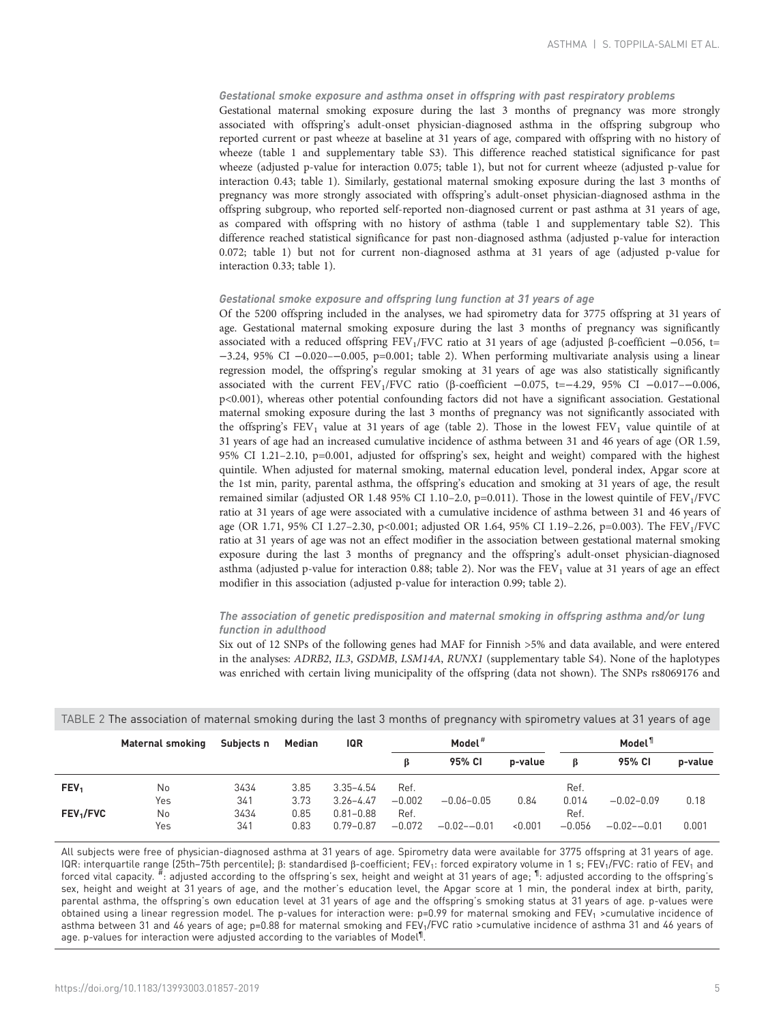# Gestational smoke exposure and asthma onset in offspring with past respiratory problems

Gestational maternal smoking exposure during the last 3 months of pregnancy was more strongly associated with offspring's adult-onset physician-diagnosed asthma in the offspring subgroup who reported current or past wheeze at baseline at 31 years of age, compared with offspring with no history of wheeze ([table 1](#page-3-0) and supplementary [table S3\)](http://erj.ersjournals.com/lookup/doi/10.1183/13993003.01857-2019.figures-only#fig-data-supplementary-materials). This difference reached statistical significance for past wheeze (adjusted p-value for interaction 0.075; [table 1\)](#page-3-0), but not for current wheeze (adjusted p-value for interaction 0.43; [table 1\)](#page-3-0). Similarly, gestational maternal smoking exposure during the last 3 months of pregnancy was more strongly associated with offspring's adult-onset physician-diagnosed asthma in the offspring subgroup, who reported self-reported non-diagnosed current or past asthma at 31 years of age, as compared with offspring with no history of asthma ([table 1](#page-3-0) and supplementary [table S2](http://erj.ersjournals.com/lookup/doi/10.1183/13993003.01857-2019.figures-only#fig-data-supplementary-materials)). This difference reached statistical significance for past non-diagnosed asthma (adjusted p-value for interaction 0.072; [table 1\)](#page-3-0) but not for current non-diagnosed asthma at 31 years of age (adjusted p-value for interaction 0.33; [table 1](#page-3-0)).

#### Gestational smoke exposure and offspring lung function at 31 years of age

Of the 5200 offspring included in the analyses, we had spirometry data for 3775 offspring at 31 years of age. Gestational maternal smoking exposure during the last 3 months of pregnancy was significantly associated with a reduced offspring FEV<sub>1</sub>/FVC ratio at 31 years of age (adjusted β-coefficient -0.056, t= −3.24, 95% CI −0.020–−0.005, p=0.001; table 2). When performing multivariate analysis using a linear regression model, the offspring's regular smoking at 31 years of age was also statistically significantly associated with the current FEV1/FVC ratio (β-coefficient −0.075, t=−4.29, 95% CI −0.017–−0.006, p<0.001), whereas other potential confounding factors did not have a significant association. Gestational maternal smoking exposure during the last 3 months of pregnancy was not significantly associated with the offspring's  $FEV_1$  value at 31 years of age (table 2). Those in the lowest  $FEV_1$  value quintile of at 31 years of age had an increased cumulative incidence of asthma between 31 and 46 years of age (OR 1.59, 95% CI 1.21–2.10, p=0.001, adjusted for offspring's sex, height and weight) compared with the highest quintile. When adjusted for maternal smoking, maternal education level, ponderal index, Apgar score at the 1st min, parity, parental asthma, the offspring's education and smoking at 31 years of age, the result remained similar (adjusted OR 1.48 95% CI 1.10–2.0, p=0.011). Those in the lowest quintile of  $FEV<sub>1</sub>/FVC$ ratio at 31 years of age were associated with a cumulative incidence of asthma between 31 and 46 years of age (OR 1.71, 95% CI 1.27-2.30, p<0.001; adjusted OR 1.64, 95% CI 1.19-2.26, p=0.003). The FEV<sub>1</sub>/FVC ratio at 31 years of age was not an effect modifier in the association between gestational maternal smoking exposure during the last 3 months of pregnancy and the offspring's adult-onset physician-diagnosed asthma (adjusted p-value for interaction 0.88; table 2). Nor was the  $FEV<sub>1</sub>$  value at 31 years of age an effect modifier in this association (adjusted p-value for interaction 0.99; table 2).

# The association of genetic predisposition and maternal smoking in offspring asthma and/or lung function in adulthood

Six out of 12 SNPs of the following genes had MAF for Finnish >5% and data available, and were entered in the analyses: ADRB2, IL3, GSDMB, LSM14A, RUNX1 (supplementary [table S4](http://erj.ersjournals.com/lookup/doi/10.1183/13993003.01857-2019.figures-only#fig-data-supplementary-materials)). None of the haplotypes was enriched with certain living municipality of the offspring (data not shown). The SNPs rs8069176 and

|                       | <b>Maternal smoking</b> | Subjects n | <b>Median</b> | IQR           | Model <sup>#</sup> |                 |         |          | Model <sup>1</sup> |         |  |
|-----------------------|-------------------------|------------|---------------|---------------|--------------------|-----------------|---------|----------|--------------------|---------|--|
|                       |                         |            |               |               |                    | 95% CI          | p-value | ß        | 95% CI             | p-value |  |
| FEV <sub>1</sub>      | No                      | 3434       | 3.85          | $3.35 - 4.54$ | Ref.               |                 |         | Ref.     |                    |         |  |
|                       | Yes                     | 341        | 3.73          | $3.26 - 4.47$ | $-0.002$           | $-0.06 - 0.05$  | 0.84    | 0.014    | $-0.02 - 0.09$     | 0.18    |  |
| FEV <sub>1</sub> /FVC | No                      | 3434       | 0.85          | $0.81 - 0.88$ | Ref.               |                 |         | Ref.     |                    |         |  |
|                       | Yes                     | 341        | 0.83          | $0.79 - 0.87$ | $-0.072$           | $-0.02 - -0.01$ | < 0.001 | $-0.056$ | $-0.02 - 0.01$     | 0.001   |  |

TABLE 2 The association of maternal smoking during the last 3 months of pregnancy with spirometry values at 31 years of age

All subjects were free of physician-diagnosed asthma at 31 years of age. Spirometry data were available for 3775 offspring at 31 years of age. IQR: interquartile range (25th–75th percentile); β: standardised β-coefficient; FEV<sub>1</sub>: forced expiratory volume in 1 s; FEV<sub>1</sub>/FVC: ratio of FEV<sub>1</sub> and forced vital capacity.  $^{\#}$ : adjusted according to the offspring's sex, height and weight at 31 years of age;  $^{\P}$ : adjusted according to the offspring's sex, height and weight at 31 years of age, and the mother's education level, the Apgar score at 1 min, the ponderal index at birth, parity, parental asthma, the offspring's own education level at 31 years of age and the offspring's smoking status at 31 years of age. p-values were obtained using a linear regression model. The p-values for interaction were: p=0.99 for maternal smoking and FEV<sub>1</sub> >cumulative incidence of asthma between 31 and 46 years of age; p=0.88 for maternal smoking and FEV<sub>1</sub>/FVC ratio >cumulative incidence of asthma 31 and 46 years of age. p-values for interaction were adjusted according to the variables of Model¶ .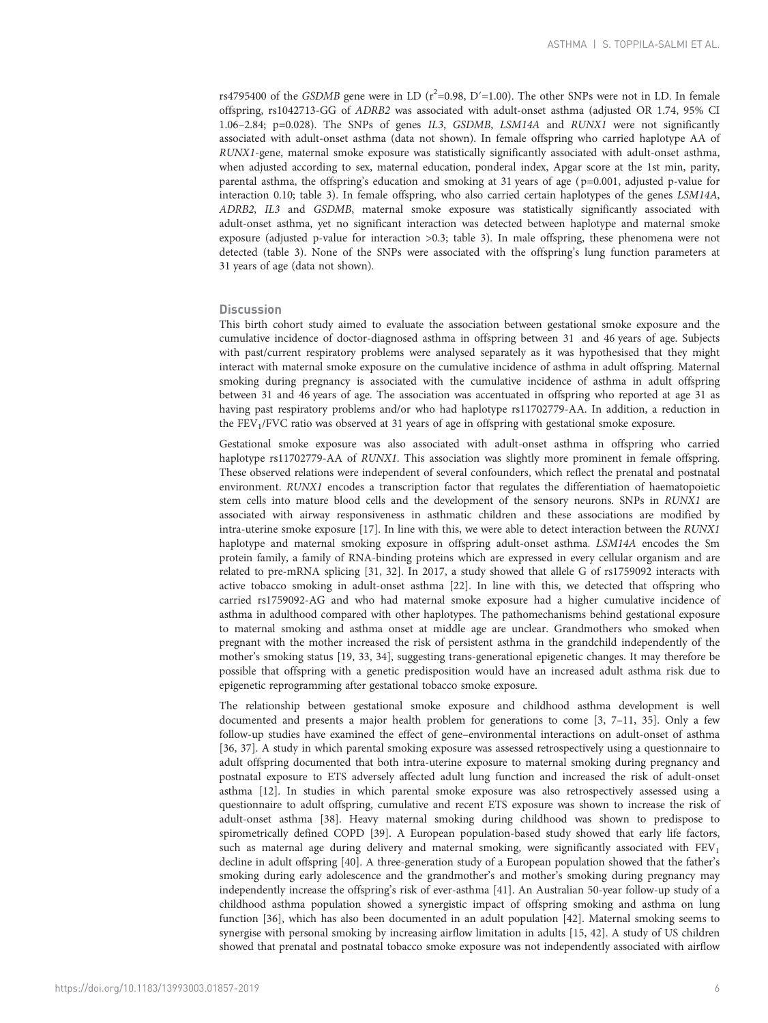rs4795400 of the GSDMB gene were in LD ( $r^2$ =0.98, D'=1.00). The other SNPs were not in LD. In female offspring, rs1042713-GG of ADRB2 was associated with adult-onset asthma (adjusted OR 1.74, 95% CI 1.06–2.84; p=0.028). The SNPs of genes IL3, GSDMB, LSM14A and RUNX1 were not significantly associated with adult-onset asthma (data not shown). In female offspring who carried haplotype AA of RUNX1-gene, maternal smoke exposure was statistically significantly associated with adult-onset asthma, when adjusted according to sex, maternal education, ponderal index, Apgar score at the 1st min, parity, parental asthma, the offspring's education and smoking at 31 years of age ( p=0.001, adjusted p-value for interaction 0.10; [table 3](#page-6-0)). In female offspring, who also carried certain haplotypes of the genes LSM14A, ADRB2, IL3 and GSDMB, maternal smoke exposure was statistically significantly associated with adult-onset asthma, yet no significant interaction was detected between haplotype and maternal smoke exposure (adjusted p-value for interaction >0.3; [table 3](#page-6-0)). In male offspring, these phenomena were not detected [\(table 3\)](#page-6-0). None of the SNPs were associated with the offspring's lung function parameters at 31 years of age (data not shown).

## **Discussion**

This birth cohort study aimed to evaluate the association between gestational smoke exposure and the cumulative incidence of doctor-diagnosed asthma in offspring between 31 and 46 years of age. Subjects with past/current respiratory problems were analysed separately as it was hypothesised that they might interact with maternal smoke exposure on the cumulative incidence of asthma in adult offspring. Maternal smoking during pregnancy is associated with the cumulative incidence of asthma in adult offspring between 31 and 46 years of age. The association was accentuated in offspring who reported at age 31 as having past respiratory problems and/or who had haplotype rs11702779-AA. In addition, a reduction in the  $FEV<sub>1</sub>/FVC$  ratio was observed at 31 years of age in offspring with gestational smoke exposure.

Gestational smoke exposure was also associated with adult-onset asthma in offspring who carried haplotype rs11702779-AA of RUNX1. This association was slightly more prominent in female offspring. These observed relations were independent of several confounders, which reflect the prenatal and postnatal environment. RUNX1 encodes a transcription factor that regulates the differentiation of haematopoietic stem cells into mature blood cells and the development of the sensory neurons. SNPs in RUNX1 are associated with airway responsiveness in asthmatic children and these associations are modified by intra-uterine smoke exposure [[17](#page-9-0)]. In line with this, we were able to detect interaction between the RUNX1 haplotype and maternal smoking exposure in offspring adult-onset asthma. LSM14A encodes the Sm protein family, a family of RNA-binding proteins which are expressed in every cellular organism and are related to pre-mRNA splicing [[31](#page-9-0), [32](#page-9-0)]. In 2017, a study showed that allele G of rs1759092 interacts with active tobacco smoking in adult-onset asthma [[22](#page-9-0)]. In line with this, we detected that offspring who carried rs1759092-AG and who had maternal smoke exposure had a higher cumulative incidence of asthma in adulthood compared with other haplotypes. The pathomechanisms behind gestational exposure to maternal smoking and asthma onset at middle age are unclear. Grandmothers who smoked when pregnant with the mother increased the risk of persistent asthma in the grandchild independently of the mother's smoking status [[19](#page-9-0), [33, 34](#page-9-0)], suggesting trans-generational epigenetic changes. It may therefore be possible that offspring with a genetic predisposition would have an increased adult asthma risk due to epigenetic reprogramming after gestational tobacco smoke exposure.

The relationship between gestational smoke exposure and childhood asthma development is well documented and presents a major health problem for generations to come [[3, 7](#page-9-0)–[11, 35\]](#page-9-0). Only a few follow-up studies have examined the effect of gene–environmental interactions on adult-onset of asthma [\[36,](#page-9-0) [37](#page-10-0)]. A study in which parental smoking exposure was assessed retrospectively using a questionnaire to adult offspring documented that both intra-uterine exposure to maternal smoking during pregnancy and postnatal exposure to ETS adversely affected adult lung function and increased the risk of adult-onset asthma [[12\]](#page-9-0). In studies in which parental smoke exposure was also retrospectively assessed using a questionnaire to adult offspring, cumulative and recent ETS exposure was shown to increase the risk of adult-onset asthma [\[38\]](#page-10-0). Heavy maternal smoking during childhood was shown to predispose to spirometrically defined COPD [\[39\]](#page-10-0). A European population-based study showed that early life factors, such as maternal age during delivery and maternal smoking, were significantly associated with  $FEV<sub>1</sub>$ decline in adult offspring [\[40](#page-10-0)]. A three-generation study of a European population showed that the father's smoking during early adolescence and the grandmother's and mother's smoking during pregnancy may independently increase the offspring's risk of ever-asthma [[41](#page-10-0)]. An Australian 50-year follow-up study of a childhood asthma population showed a synergistic impact of offspring smoking and asthma on lung function [[36](#page-9-0)], which has also been documented in an adult population [[42](#page-10-0)]. Maternal smoking seems to synergise with personal smoking by increasing airflow limitation in adults [[15](#page-9-0), [42\]](#page-10-0). A study of US children showed that prenatal and postnatal tobacco smoke exposure was not independently associated with airflow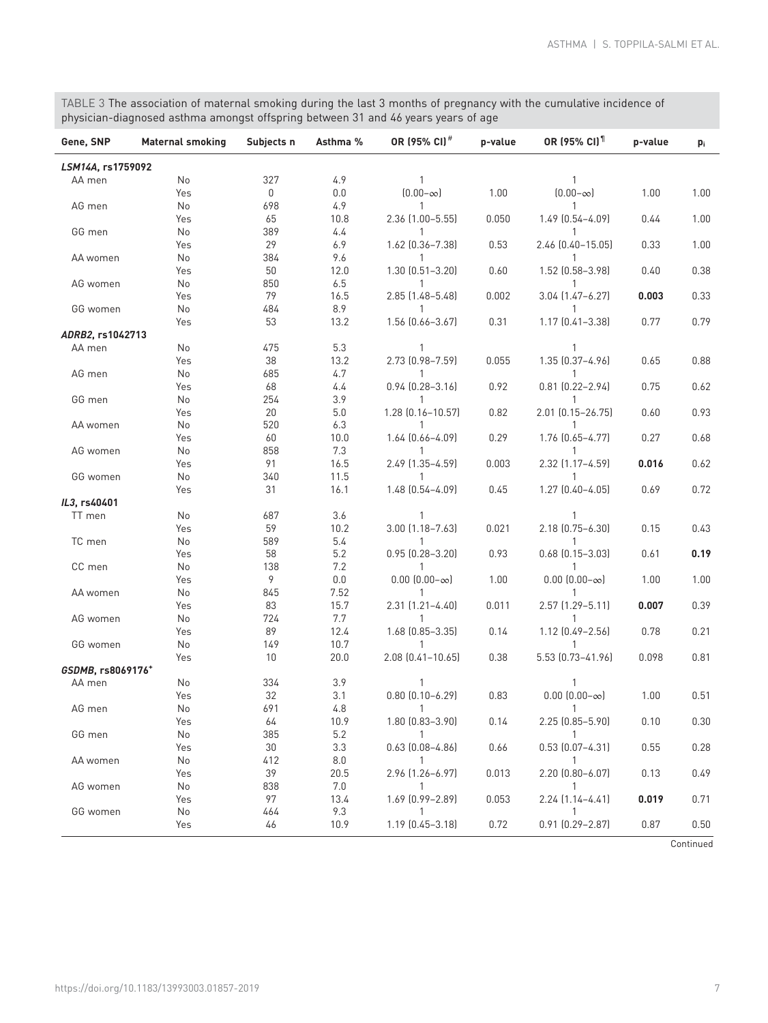<span id="page-6-0"></span>TABLE 3 The association of maternal smoking during the last 3 months of pregnancy with the cumulative incidence of physician-diagnosed asthma amongst offspring between 31 and 46 years years of age

| LSM14A, rs1759092<br>327<br>4.9<br>AA men<br>No<br>1<br>1<br>0<br>$[0.00 - \infty]$<br>1.00<br>$[0.00 - \infty]$<br>1.00<br>Yes<br>0.0<br>1.00<br>4.9<br>AG men<br>No<br>698<br>$\mathbf{1}$<br>1<br>0.050<br>1.00<br>Yes<br>65<br>10.8<br>2.36 (1.00-5.55)<br>1.49 (0.54-4.09)<br>0.44<br>4.4<br>GG men<br>No<br>389<br>1<br>1<br>29<br>6.9<br>1.62 (0.36-7.38)<br>0.53<br>2.46 (0.40-15.05)<br>0.33<br>1.00<br>Yes<br>AA women<br>No<br>384<br>9.6<br>1<br>1<br>1.30 (0.51-3.20)<br>1.52 (0.58-3.98)<br>0.60<br>0.40<br>0.38<br>50<br>12.0<br>Yes<br>6.5<br>AG women<br>No<br>850<br>1<br>$\mathbf{1}$<br>16.5<br>0.002<br>3.04 (1.47-6.27)<br>0.33<br>Yes<br>79<br>2.85 (1.48-5.48)<br>0.003<br>8.9<br>No<br>484<br>GG women<br>1<br>1<br>53<br>13.2<br>1.56 (0.66-3.67)<br>0.31<br>1.17 (0.41-3.38)<br>0.77<br>0.79<br>Yes<br>ADRB2, rs1042713<br>5.3<br>AA men<br>No<br>475<br>1<br>1<br>38<br>13.2<br>0.055<br>0.88<br>Yes<br>2.73 (0.98-7.59)<br>1.35 (0.37-4.96)<br>0.65<br>4.7<br>AG men<br>No<br>685<br>1<br>1<br>0.92<br>$0.81$ $(0.22 - 2.94)$<br>Yes<br>68<br>4.4<br>$0.94$ $(0.28 - 3.16)$<br>0.75<br>0.62<br>254<br>3.9<br>GG men<br>No<br>1<br>$\mathbf{1}$<br>2.01 (0.15-26.75)<br>5.0<br>1.28 (0.16-10.57)<br>0.82<br>0.93<br>Yes<br>20<br>0.60<br>AA women<br>No<br>520<br>6.3<br>1<br>1<br>10.0<br>1.64 (0.66-4.09)<br>0.29<br>1.76 (0.65-4.77)<br>0.27<br>0.68<br>Yes<br>60<br>No<br>858<br>7.3<br>AG women<br>$\mathbf{1}$<br>16.5<br>2.49 (1.35-4.59)<br>2.32 (1.17-4.59)<br>Yes<br>91<br>0.003<br>0.016<br>0.62<br>11.5<br>GG women<br>No<br>340<br>1<br>$\mathbf{1}$<br>1.48 (0.54-4.09)<br>$1.27$ $(0.40 - 4.05)$<br>0.72<br>Yes<br>31<br>16.1<br>0.45<br>0.69<br>IL3, rs40401<br>3.6<br>TT men<br>No<br>687<br>1<br>$\mathbf{1}$<br>10.2<br>3.00 (1.18-7.63)<br>2.18 (0.75-6.30)<br>Yes<br>59<br>0.021<br>0.15<br>0.43<br>5.4<br>TC men<br>No<br>589<br>1<br>1<br>5.2<br>$0.95$ $(0.28 - 3.20)$<br>0.93<br>$0.68$ $(0.15 - 3.03)$<br>Yes<br>58<br>0.61<br>0.19<br>7.2<br>CC men<br>No<br>138<br>1<br>1<br>9<br>$0.00$ $(0.00-\infty)$<br>1.00<br>$0.00$ $(0.00-\infty)$<br>1.00<br>Yes<br>0.0<br>1.00<br>7.52<br>No<br>845<br>$\mathbf{1}$<br>AA women<br>$\mathbf{1}$<br>15.7<br>2.31 (1.21-4.40)<br>0.011<br>2.57 (1.29-5.11)<br>0.007<br>0.39<br>Yes<br>83<br>7.7<br>No<br>724<br>AG women<br>1<br>89<br>12.4<br>1.68 (0.85-3.35)<br>0.14<br>1.12 (0.49-2.56)<br>0.78<br>0.21<br>Yes<br>10.7<br>GG women<br>No<br>149<br>1<br>$\mathbf{1}$<br>2.08 (0.41-10.65)<br>5.53 (0.73-41.96)<br>10<br>20.0<br>0.38<br>0.098<br>0.81<br>Yes<br>GSDMB, rs8069176+<br>334<br>No<br>3.9<br>AA men<br>$0.80$ $(0.10 - 6.29)$<br>$0.00$ $(0.00-\infty)$<br>32<br>0.51<br>Yes<br>3.1<br>0.83<br>1.00<br>No<br>691<br>4.8<br>AG men<br>$\overline{1}$<br>$\overline{1}$<br>10.9<br>$1.80$ $(0.83 - 3.90)$<br>0.14<br>$2.25$ $(0.85 - 5.90)$<br>0.10<br>0.30<br>64<br>Yes<br>385<br>5.2<br>GG men<br>No<br>$\mathbf{1}$<br>$\mathbf{1}$<br>3.3<br>$0.63$ $[0.08 - 4.86]$<br>0.66<br>$0.53$ $(0.07 - 4.31)$<br>0.55<br>Yes<br>30<br>0.28<br>AA women<br>412<br>8.0<br>$\overline{1}$<br>$\overline{1}$<br>No<br>2.96 (1.26-6.97)<br>0.013<br>2.20 (0.80-6.07)<br>39<br>0.13<br>20.5<br>0.49<br>Yes<br>7.0<br>AG women<br>No<br>838<br>$\mathbf{1}$<br>$\mathbf{1}$<br>0.053<br>13.4<br>1.69 (0.99-2.89)<br>$2.24$ $(1.14 - 4.41)$<br>0.019<br>Yes<br>97<br>0.71<br>9.3<br>GG women<br>No<br>464<br>$\mathbf{1}$<br>1<br>0.72<br>10.9<br>1.19 (0.45-3.18)<br>0.91 (0.29-2.87)<br>0.87<br>Yes<br>46<br>0.50 | Gene, SNP | <b>Maternal smoking</b> | Subjects n | Asthma % | OR (95% CI) <sup>#</sup> | OR (95% CI) <sup>1</sup><br>p-value |  | p-value | pi |
|-----------------------------------------------------------------------------------------------------------------------------------------------------------------------------------------------------------------------------------------------------------------------------------------------------------------------------------------------------------------------------------------------------------------------------------------------------------------------------------------------------------------------------------------------------------------------------------------------------------------------------------------------------------------------------------------------------------------------------------------------------------------------------------------------------------------------------------------------------------------------------------------------------------------------------------------------------------------------------------------------------------------------------------------------------------------------------------------------------------------------------------------------------------------------------------------------------------------------------------------------------------------------------------------------------------------------------------------------------------------------------------------------------------------------------------------------------------------------------------------------------------------------------------------------------------------------------------------------------------------------------------------------------------------------------------------------------------------------------------------------------------------------------------------------------------------------------------------------------------------------------------------------------------------------------------------------------------------------------------------------------------------------------------------------------------------------------------------------------------------------------------------------------------------------------------------------------------------------------------------------------------------------------------------------------------------------------------------------------------------------------------------------------------------------------------------------------------------------------------------------------------------------------------------------------------------------------------------------------------------------------------------------------------------------------------------------------------------------------------------------------------------------------------------------------------------------------------------------------------------------------------------------------------------------------------------------------------------------------------------------------------------------------------------------------------------------------------------------------------------------------------------------------------------------------------------------------------------------------------------------------------------------------------------------------------------------------------------------------------------------------------------------------------------------------------------------------------------------------------------------------------------------|-----------|-------------------------|------------|----------|--------------------------|-------------------------------------|--|---------|----|
|                                                                                                                                                                                                                                                                                                                                                                                                                                                                                                                                                                                                                                                                                                                                                                                                                                                                                                                                                                                                                                                                                                                                                                                                                                                                                                                                                                                                                                                                                                                                                                                                                                                                                                                                                                                                                                                                                                                                                                                                                                                                                                                                                                                                                                                                                                                                                                                                                                                                                                                                                                                                                                                                                                                                                                                                                                                                                                                                                                                                                                                                                                                                                                                                                                                                                                                                                                                                                                                                                                                       |           |                         |            |          |                          |                                     |  |         |    |
|                                                                                                                                                                                                                                                                                                                                                                                                                                                                                                                                                                                                                                                                                                                                                                                                                                                                                                                                                                                                                                                                                                                                                                                                                                                                                                                                                                                                                                                                                                                                                                                                                                                                                                                                                                                                                                                                                                                                                                                                                                                                                                                                                                                                                                                                                                                                                                                                                                                                                                                                                                                                                                                                                                                                                                                                                                                                                                                                                                                                                                                                                                                                                                                                                                                                                                                                                                                                                                                                                                                       |           |                         |            |          |                          |                                     |  |         |    |
|                                                                                                                                                                                                                                                                                                                                                                                                                                                                                                                                                                                                                                                                                                                                                                                                                                                                                                                                                                                                                                                                                                                                                                                                                                                                                                                                                                                                                                                                                                                                                                                                                                                                                                                                                                                                                                                                                                                                                                                                                                                                                                                                                                                                                                                                                                                                                                                                                                                                                                                                                                                                                                                                                                                                                                                                                                                                                                                                                                                                                                                                                                                                                                                                                                                                                                                                                                                                                                                                                                                       |           |                         |            |          |                          |                                     |  |         |    |
|                                                                                                                                                                                                                                                                                                                                                                                                                                                                                                                                                                                                                                                                                                                                                                                                                                                                                                                                                                                                                                                                                                                                                                                                                                                                                                                                                                                                                                                                                                                                                                                                                                                                                                                                                                                                                                                                                                                                                                                                                                                                                                                                                                                                                                                                                                                                                                                                                                                                                                                                                                                                                                                                                                                                                                                                                                                                                                                                                                                                                                                                                                                                                                                                                                                                                                                                                                                                                                                                                                                       |           |                         |            |          |                          |                                     |  |         |    |
|                                                                                                                                                                                                                                                                                                                                                                                                                                                                                                                                                                                                                                                                                                                                                                                                                                                                                                                                                                                                                                                                                                                                                                                                                                                                                                                                                                                                                                                                                                                                                                                                                                                                                                                                                                                                                                                                                                                                                                                                                                                                                                                                                                                                                                                                                                                                                                                                                                                                                                                                                                                                                                                                                                                                                                                                                                                                                                                                                                                                                                                                                                                                                                                                                                                                                                                                                                                                                                                                                                                       |           |                         |            |          |                          |                                     |  |         |    |
|                                                                                                                                                                                                                                                                                                                                                                                                                                                                                                                                                                                                                                                                                                                                                                                                                                                                                                                                                                                                                                                                                                                                                                                                                                                                                                                                                                                                                                                                                                                                                                                                                                                                                                                                                                                                                                                                                                                                                                                                                                                                                                                                                                                                                                                                                                                                                                                                                                                                                                                                                                                                                                                                                                                                                                                                                                                                                                                                                                                                                                                                                                                                                                                                                                                                                                                                                                                                                                                                                                                       |           |                         |            |          |                          |                                     |  |         |    |
|                                                                                                                                                                                                                                                                                                                                                                                                                                                                                                                                                                                                                                                                                                                                                                                                                                                                                                                                                                                                                                                                                                                                                                                                                                                                                                                                                                                                                                                                                                                                                                                                                                                                                                                                                                                                                                                                                                                                                                                                                                                                                                                                                                                                                                                                                                                                                                                                                                                                                                                                                                                                                                                                                                                                                                                                                                                                                                                                                                                                                                                                                                                                                                                                                                                                                                                                                                                                                                                                                                                       |           |                         |            |          |                          |                                     |  |         |    |
|                                                                                                                                                                                                                                                                                                                                                                                                                                                                                                                                                                                                                                                                                                                                                                                                                                                                                                                                                                                                                                                                                                                                                                                                                                                                                                                                                                                                                                                                                                                                                                                                                                                                                                                                                                                                                                                                                                                                                                                                                                                                                                                                                                                                                                                                                                                                                                                                                                                                                                                                                                                                                                                                                                                                                                                                                                                                                                                                                                                                                                                                                                                                                                                                                                                                                                                                                                                                                                                                                                                       |           |                         |            |          |                          |                                     |  |         |    |
|                                                                                                                                                                                                                                                                                                                                                                                                                                                                                                                                                                                                                                                                                                                                                                                                                                                                                                                                                                                                                                                                                                                                                                                                                                                                                                                                                                                                                                                                                                                                                                                                                                                                                                                                                                                                                                                                                                                                                                                                                                                                                                                                                                                                                                                                                                                                                                                                                                                                                                                                                                                                                                                                                                                                                                                                                                                                                                                                                                                                                                                                                                                                                                                                                                                                                                                                                                                                                                                                                                                       |           |                         |            |          |                          |                                     |  |         |    |
|                                                                                                                                                                                                                                                                                                                                                                                                                                                                                                                                                                                                                                                                                                                                                                                                                                                                                                                                                                                                                                                                                                                                                                                                                                                                                                                                                                                                                                                                                                                                                                                                                                                                                                                                                                                                                                                                                                                                                                                                                                                                                                                                                                                                                                                                                                                                                                                                                                                                                                                                                                                                                                                                                                                                                                                                                                                                                                                                                                                                                                                                                                                                                                                                                                                                                                                                                                                                                                                                                                                       |           |                         |            |          |                          |                                     |  |         |    |
|                                                                                                                                                                                                                                                                                                                                                                                                                                                                                                                                                                                                                                                                                                                                                                                                                                                                                                                                                                                                                                                                                                                                                                                                                                                                                                                                                                                                                                                                                                                                                                                                                                                                                                                                                                                                                                                                                                                                                                                                                                                                                                                                                                                                                                                                                                                                                                                                                                                                                                                                                                                                                                                                                                                                                                                                                                                                                                                                                                                                                                                                                                                                                                                                                                                                                                                                                                                                                                                                                                                       |           |                         |            |          |                          |                                     |  |         |    |
|                                                                                                                                                                                                                                                                                                                                                                                                                                                                                                                                                                                                                                                                                                                                                                                                                                                                                                                                                                                                                                                                                                                                                                                                                                                                                                                                                                                                                                                                                                                                                                                                                                                                                                                                                                                                                                                                                                                                                                                                                                                                                                                                                                                                                                                                                                                                                                                                                                                                                                                                                                                                                                                                                                                                                                                                                                                                                                                                                                                                                                                                                                                                                                                                                                                                                                                                                                                                                                                                                                                       |           |                         |            |          |                          |                                     |  |         |    |
|                                                                                                                                                                                                                                                                                                                                                                                                                                                                                                                                                                                                                                                                                                                                                                                                                                                                                                                                                                                                                                                                                                                                                                                                                                                                                                                                                                                                                                                                                                                                                                                                                                                                                                                                                                                                                                                                                                                                                                                                                                                                                                                                                                                                                                                                                                                                                                                                                                                                                                                                                                                                                                                                                                                                                                                                                                                                                                                                                                                                                                                                                                                                                                                                                                                                                                                                                                                                                                                                                                                       |           |                         |            |          |                          |                                     |  |         |    |
|                                                                                                                                                                                                                                                                                                                                                                                                                                                                                                                                                                                                                                                                                                                                                                                                                                                                                                                                                                                                                                                                                                                                                                                                                                                                                                                                                                                                                                                                                                                                                                                                                                                                                                                                                                                                                                                                                                                                                                                                                                                                                                                                                                                                                                                                                                                                                                                                                                                                                                                                                                                                                                                                                                                                                                                                                                                                                                                                                                                                                                                                                                                                                                                                                                                                                                                                                                                                                                                                                                                       |           |                         |            |          |                          |                                     |  |         |    |
|                                                                                                                                                                                                                                                                                                                                                                                                                                                                                                                                                                                                                                                                                                                                                                                                                                                                                                                                                                                                                                                                                                                                                                                                                                                                                                                                                                                                                                                                                                                                                                                                                                                                                                                                                                                                                                                                                                                                                                                                                                                                                                                                                                                                                                                                                                                                                                                                                                                                                                                                                                                                                                                                                                                                                                                                                                                                                                                                                                                                                                                                                                                                                                                                                                                                                                                                                                                                                                                                                                                       |           |                         |            |          |                          |                                     |  |         |    |
|                                                                                                                                                                                                                                                                                                                                                                                                                                                                                                                                                                                                                                                                                                                                                                                                                                                                                                                                                                                                                                                                                                                                                                                                                                                                                                                                                                                                                                                                                                                                                                                                                                                                                                                                                                                                                                                                                                                                                                                                                                                                                                                                                                                                                                                                                                                                                                                                                                                                                                                                                                                                                                                                                                                                                                                                                                                                                                                                                                                                                                                                                                                                                                                                                                                                                                                                                                                                                                                                                                                       |           |                         |            |          |                          |                                     |  |         |    |
|                                                                                                                                                                                                                                                                                                                                                                                                                                                                                                                                                                                                                                                                                                                                                                                                                                                                                                                                                                                                                                                                                                                                                                                                                                                                                                                                                                                                                                                                                                                                                                                                                                                                                                                                                                                                                                                                                                                                                                                                                                                                                                                                                                                                                                                                                                                                                                                                                                                                                                                                                                                                                                                                                                                                                                                                                                                                                                                                                                                                                                                                                                                                                                                                                                                                                                                                                                                                                                                                                                                       |           |                         |            |          |                          |                                     |  |         |    |
|                                                                                                                                                                                                                                                                                                                                                                                                                                                                                                                                                                                                                                                                                                                                                                                                                                                                                                                                                                                                                                                                                                                                                                                                                                                                                                                                                                                                                                                                                                                                                                                                                                                                                                                                                                                                                                                                                                                                                                                                                                                                                                                                                                                                                                                                                                                                                                                                                                                                                                                                                                                                                                                                                                                                                                                                                                                                                                                                                                                                                                                                                                                                                                                                                                                                                                                                                                                                                                                                                                                       |           |                         |            |          |                          |                                     |  |         |    |
|                                                                                                                                                                                                                                                                                                                                                                                                                                                                                                                                                                                                                                                                                                                                                                                                                                                                                                                                                                                                                                                                                                                                                                                                                                                                                                                                                                                                                                                                                                                                                                                                                                                                                                                                                                                                                                                                                                                                                                                                                                                                                                                                                                                                                                                                                                                                                                                                                                                                                                                                                                                                                                                                                                                                                                                                                                                                                                                                                                                                                                                                                                                                                                                                                                                                                                                                                                                                                                                                                                                       |           |                         |            |          |                          |                                     |  |         |    |
|                                                                                                                                                                                                                                                                                                                                                                                                                                                                                                                                                                                                                                                                                                                                                                                                                                                                                                                                                                                                                                                                                                                                                                                                                                                                                                                                                                                                                                                                                                                                                                                                                                                                                                                                                                                                                                                                                                                                                                                                                                                                                                                                                                                                                                                                                                                                                                                                                                                                                                                                                                                                                                                                                                                                                                                                                                                                                                                                                                                                                                                                                                                                                                                                                                                                                                                                                                                                                                                                                                                       |           |                         |            |          |                          |                                     |  |         |    |
|                                                                                                                                                                                                                                                                                                                                                                                                                                                                                                                                                                                                                                                                                                                                                                                                                                                                                                                                                                                                                                                                                                                                                                                                                                                                                                                                                                                                                                                                                                                                                                                                                                                                                                                                                                                                                                                                                                                                                                                                                                                                                                                                                                                                                                                                                                                                                                                                                                                                                                                                                                                                                                                                                                                                                                                                                                                                                                                                                                                                                                                                                                                                                                                                                                                                                                                                                                                                                                                                                                                       |           |                         |            |          |                          |                                     |  |         |    |
|                                                                                                                                                                                                                                                                                                                                                                                                                                                                                                                                                                                                                                                                                                                                                                                                                                                                                                                                                                                                                                                                                                                                                                                                                                                                                                                                                                                                                                                                                                                                                                                                                                                                                                                                                                                                                                                                                                                                                                                                                                                                                                                                                                                                                                                                                                                                                                                                                                                                                                                                                                                                                                                                                                                                                                                                                                                                                                                                                                                                                                                                                                                                                                                                                                                                                                                                                                                                                                                                                                                       |           |                         |            |          |                          |                                     |  |         |    |
|                                                                                                                                                                                                                                                                                                                                                                                                                                                                                                                                                                                                                                                                                                                                                                                                                                                                                                                                                                                                                                                                                                                                                                                                                                                                                                                                                                                                                                                                                                                                                                                                                                                                                                                                                                                                                                                                                                                                                                                                                                                                                                                                                                                                                                                                                                                                                                                                                                                                                                                                                                                                                                                                                                                                                                                                                                                                                                                                                                                                                                                                                                                                                                                                                                                                                                                                                                                                                                                                                                                       |           |                         |            |          |                          |                                     |  |         |    |
|                                                                                                                                                                                                                                                                                                                                                                                                                                                                                                                                                                                                                                                                                                                                                                                                                                                                                                                                                                                                                                                                                                                                                                                                                                                                                                                                                                                                                                                                                                                                                                                                                                                                                                                                                                                                                                                                                                                                                                                                                                                                                                                                                                                                                                                                                                                                                                                                                                                                                                                                                                                                                                                                                                                                                                                                                                                                                                                                                                                                                                                                                                                                                                                                                                                                                                                                                                                                                                                                                                                       |           |                         |            |          |                          |                                     |  |         |    |
|                                                                                                                                                                                                                                                                                                                                                                                                                                                                                                                                                                                                                                                                                                                                                                                                                                                                                                                                                                                                                                                                                                                                                                                                                                                                                                                                                                                                                                                                                                                                                                                                                                                                                                                                                                                                                                                                                                                                                                                                                                                                                                                                                                                                                                                                                                                                                                                                                                                                                                                                                                                                                                                                                                                                                                                                                                                                                                                                                                                                                                                                                                                                                                                                                                                                                                                                                                                                                                                                                                                       |           |                         |            |          |                          |                                     |  |         |    |
|                                                                                                                                                                                                                                                                                                                                                                                                                                                                                                                                                                                                                                                                                                                                                                                                                                                                                                                                                                                                                                                                                                                                                                                                                                                                                                                                                                                                                                                                                                                                                                                                                                                                                                                                                                                                                                                                                                                                                                                                                                                                                                                                                                                                                                                                                                                                                                                                                                                                                                                                                                                                                                                                                                                                                                                                                                                                                                                                                                                                                                                                                                                                                                                                                                                                                                                                                                                                                                                                                                                       |           |                         |            |          |                          |                                     |  |         |    |
|                                                                                                                                                                                                                                                                                                                                                                                                                                                                                                                                                                                                                                                                                                                                                                                                                                                                                                                                                                                                                                                                                                                                                                                                                                                                                                                                                                                                                                                                                                                                                                                                                                                                                                                                                                                                                                                                                                                                                                                                                                                                                                                                                                                                                                                                                                                                                                                                                                                                                                                                                                                                                                                                                                                                                                                                                                                                                                                                                                                                                                                                                                                                                                                                                                                                                                                                                                                                                                                                                                                       |           |                         |            |          |                          |                                     |  |         |    |
|                                                                                                                                                                                                                                                                                                                                                                                                                                                                                                                                                                                                                                                                                                                                                                                                                                                                                                                                                                                                                                                                                                                                                                                                                                                                                                                                                                                                                                                                                                                                                                                                                                                                                                                                                                                                                                                                                                                                                                                                                                                                                                                                                                                                                                                                                                                                                                                                                                                                                                                                                                                                                                                                                                                                                                                                                                                                                                                                                                                                                                                                                                                                                                                                                                                                                                                                                                                                                                                                                                                       |           |                         |            |          |                          |                                     |  |         |    |
|                                                                                                                                                                                                                                                                                                                                                                                                                                                                                                                                                                                                                                                                                                                                                                                                                                                                                                                                                                                                                                                                                                                                                                                                                                                                                                                                                                                                                                                                                                                                                                                                                                                                                                                                                                                                                                                                                                                                                                                                                                                                                                                                                                                                                                                                                                                                                                                                                                                                                                                                                                                                                                                                                                                                                                                                                                                                                                                                                                                                                                                                                                                                                                                                                                                                                                                                                                                                                                                                                                                       |           |                         |            |          |                          |                                     |  |         |    |
|                                                                                                                                                                                                                                                                                                                                                                                                                                                                                                                                                                                                                                                                                                                                                                                                                                                                                                                                                                                                                                                                                                                                                                                                                                                                                                                                                                                                                                                                                                                                                                                                                                                                                                                                                                                                                                                                                                                                                                                                                                                                                                                                                                                                                                                                                                                                                                                                                                                                                                                                                                                                                                                                                                                                                                                                                                                                                                                                                                                                                                                                                                                                                                                                                                                                                                                                                                                                                                                                                                                       |           |                         |            |          |                          |                                     |  |         |    |
|                                                                                                                                                                                                                                                                                                                                                                                                                                                                                                                                                                                                                                                                                                                                                                                                                                                                                                                                                                                                                                                                                                                                                                                                                                                                                                                                                                                                                                                                                                                                                                                                                                                                                                                                                                                                                                                                                                                                                                                                                                                                                                                                                                                                                                                                                                                                                                                                                                                                                                                                                                                                                                                                                                                                                                                                                                                                                                                                                                                                                                                                                                                                                                                                                                                                                                                                                                                                                                                                                                                       |           |                         |            |          |                          |                                     |  |         |    |
|                                                                                                                                                                                                                                                                                                                                                                                                                                                                                                                                                                                                                                                                                                                                                                                                                                                                                                                                                                                                                                                                                                                                                                                                                                                                                                                                                                                                                                                                                                                                                                                                                                                                                                                                                                                                                                                                                                                                                                                                                                                                                                                                                                                                                                                                                                                                                                                                                                                                                                                                                                                                                                                                                                                                                                                                                                                                                                                                                                                                                                                                                                                                                                                                                                                                                                                                                                                                                                                                                                                       |           |                         |            |          |                          |                                     |  |         |    |
|                                                                                                                                                                                                                                                                                                                                                                                                                                                                                                                                                                                                                                                                                                                                                                                                                                                                                                                                                                                                                                                                                                                                                                                                                                                                                                                                                                                                                                                                                                                                                                                                                                                                                                                                                                                                                                                                                                                                                                                                                                                                                                                                                                                                                                                                                                                                                                                                                                                                                                                                                                                                                                                                                                                                                                                                                                                                                                                                                                                                                                                                                                                                                                                                                                                                                                                                                                                                                                                                                                                       |           |                         |            |          |                          |                                     |  |         |    |
|                                                                                                                                                                                                                                                                                                                                                                                                                                                                                                                                                                                                                                                                                                                                                                                                                                                                                                                                                                                                                                                                                                                                                                                                                                                                                                                                                                                                                                                                                                                                                                                                                                                                                                                                                                                                                                                                                                                                                                                                                                                                                                                                                                                                                                                                                                                                                                                                                                                                                                                                                                                                                                                                                                                                                                                                                                                                                                                                                                                                                                                                                                                                                                                                                                                                                                                                                                                                                                                                                                                       |           |                         |            |          |                          |                                     |  |         |    |
|                                                                                                                                                                                                                                                                                                                                                                                                                                                                                                                                                                                                                                                                                                                                                                                                                                                                                                                                                                                                                                                                                                                                                                                                                                                                                                                                                                                                                                                                                                                                                                                                                                                                                                                                                                                                                                                                                                                                                                                                                                                                                                                                                                                                                                                                                                                                                                                                                                                                                                                                                                                                                                                                                                                                                                                                                                                                                                                                                                                                                                                                                                                                                                                                                                                                                                                                                                                                                                                                                                                       |           |                         |            |          |                          |                                     |  |         |    |
|                                                                                                                                                                                                                                                                                                                                                                                                                                                                                                                                                                                                                                                                                                                                                                                                                                                                                                                                                                                                                                                                                                                                                                                                                                                                                                                                                                                                                                                                                                                                                                                                                                                                                                                                                                                                                                                                                                                                                                                                                                                                                                                                                                                                                                                                                                                                                                                                                                                                                                                                                                                                                                                                                                                                                                                                                                                                                                                                                                                                                                                                                                                                                                                                                                                                                                                                                                                                                                                                                                                       |           |                         |            |          |                          |                                     |  |         |    |
|                                                                                                                                                                                                                                                                                                                                                                                                                                                                                                                                                                                                                                                                                                                                                                                                                                                                                                                                                                                                                                                                                                                                                                                                                                                                                                                                                                                                                                                                                                                                                                                                                                                                                                                                                                                                                                                                                                                                                                                                                                                                                                                                                                                                                                                                                                                                                                                                                                                                                                                                                                                                                                                                                                                                                                                                                                                                                                                                                                                                                                                                                                                                                                                                                                                                                                                                                                                                                                                                                                                       |           |                         |            |          |                          |                                     |  |         |    |
|                                                                                                                                                                                                                                                                                                                                                                                                                                                                                                                                                                                                                                                                                                                                                                                                                                                                                                                                                                                                                                                                                                                                                                                                                                                                                                                                                                                                                                                                                                                                                                                                                                                                                                                                                                                                                                                                                                                                                                                                                                                                                                                                                                                                                                                                                                                                                                                                                                                                                                                                                                                                                                                                                                                                                                                                                                                                                                                                                                                                                                                                                                                                                                                                                                                                                                                                                                                                                                                                                                                       |           |                         |            |          |                          |                                     |  |         |    |
|                                                                                                                                                                                                                                                                                                                                                                                                                                                                                                                                                                                                                                                                                                                                                                                                                                                                                                                                                                                                                                                                                                                                                                                                                                                                                                                                                                                                                                                                                                                                                                                                                                                                                                                                                                                                                                                                                                                                                                                                                                                                                                                                                                                                                                                                                                                                                                                                                                                                                                                                                                                                                                                                                                                                                                                                                                                                                                                                                                                                                                                                                                                                                                                                                                                                                                                                                                                                                                                                                                                       |           |                         |            |          |                          |                                     |  |         |    |
|                                                                                                                                                                                                                                                                                                                                                                                                                                                                                                                                                                                                                                                                                                                                                                                                                                                                                                                                                                                                                                                                                                                                                                                                                                                                                                                                                                                                                                                                                                                                                                                                                                                                                                                                                                                                                                                                                                                                                                                                                                                                                                                                                                                                                                                                                                                                                                                                                                                                                                                                                                                                                                                                                                                                                                                                                                                                                                                                                                                                                                                                                                                                                                                                                                                                                                                                                                                                                                                                                                                       |           |                         |            |          |                          |                                     |  |         |    |
|                                                                                                                                                                                                                                                                                                                                                                                                                                                                                                                                                                                                                                                                                                                                                                                                                                                                                                                                                                                                                                                                                                                                                                                                                                                                                                                                                                                                                                                                                                                                                                                                                                                                                                                                                                                                                                                                                                                                                                                                                                                                                                                                                                                                                                                                                                                                                                                                                                                                                                                                                                                                                                                                                                                                                                                                                                                                                                                                                                                                                                                                                                                                                                                                                                                                                                                                                                                                                                                                                                                       |           |                         |            |          |                          |                                     |  |         |    |
|                                                                                                                                                                                                                                                                                                                                                                                                                                                                                                                                                                                                                                                                                                                                                                                                                                                                                                                                                                                                                                                                                                                                                                                                                                                                                                                                                                                                                                                                                                                                                                                                                                                                                                                                                                                                                                                                                                                                                                                                                                                                                                                                                                                                                                                                                                                                                                                                                                                                                                                                                                                                                                                                                                                                                                                                                                                                                                                                                                                                                                                                                                                                                                                                                                                                                                                                                                                                                                                                                                                       |           |                         |            |          |                          |                                     |  |         |    |
|                                                                                                                                                                                                                                                                                                                                                                                                                                                                                                                                                                                                                                                                                                                                                                                                                                                                                                                                                                                                                                                                                                                                                                                                                                                                                                                                                                                                                                                                                                                                                                                                                                                                                                                                                                                                                                                                                                                                                                                                                                                                                                                                                                                                                                                                                                                                                                                                                                                                                                                                                                                                                                                                                                                                                                                                                                                                                                                                                                                                                                                                                                                                                                                                                                                                                                                                                                                                                                                                                                                       |           |                         |            |          |                          |                                     |  |         |    |
|                                                                                                                                                                                                                                                                                                                                                                                                                                                                                                                                                                                                                                                                                                                                                                                                                                                                                                                                                                                                                                                                                                                                                                                                                                                                                                                                                                                                                                                                                                                                                                                                                                                                                                                                                                                                                                                                                                                                                                                                                                                                                                                                                                                                                                                                                                                                                                                                                                                                                                                                                                                                                                                                                                                                                                                                                                                                                                                                                                                                                                                                                                                                                                                                                                                                                                                                                                                                                                                                                                                       |           |                         |            |          |                          |                                     |  |         |    |
|                                                                                                                                                                                                                                                                                                                                                                                                                                                                                                                                                                                                                                                                                                                                                                                                                                                                                                                                                                                                                                                                                                                                                                                                                                                                                                                                                                                                                                                                                                                                                                                                                                                                                                                                                                                                                                                                                                                                                                                                                                                                                                                                                                                                                                                                                                                                                                                                                                                                                                                                                                                                                                                                                                                                                                                                                                                                                                                                                                                                                                                                                                                                                                                                                                                                                                                                                                                                                                                                                                                       |           |                         |            |          |                          |                                     |  |         |    |
|                                                                                                                                                                                                                                                                                                                                                                                                                                                                                                                                                                                                                                                                                                                                                                                                                                                                                                                                                                                                                                                                                                                                                                                                                                                                                                                                                                                                                                                                                                                                                                                                                                                                                                                                                                                                                                                                                                                                                                                                                                                                                                                                                                                                                                                                                                                                                                                                                                                                                                                                                                                                                                                                                                                                                                                                                                                                                                                                                                                                                                                                                                                                                                                                                                                                                                                                                                                                                                                                                                                       |           |                         |            |          |                          |                                     |  |         |    |
|                                                                                                                                                                                                                                                                                                                                                                                                                                                                                                                                                                                                                                                                                                                                                                                                                                                                                                                                                                                                                                                                                                                                                                                                                                                                                                                                                                                                                                                                                                                                                                                                                                                                                                                                                                                                                                                                                                                                                                                                                                                                                                                                                                                                                                                                                                                                                                                                                                                                                                                                                                                                                                                                                                                                                                                                                                                                                                                                                                                                                                                                                                                                                                                                                                                                                                                                                                                                                                                                                                                       |           |                         |            |          |                          |                                     |  |         |    |
|                                                                                                                                                                                                                                                                                                                                                                                                                                                                                                                                                                                                                                                                                                                                                                                                                                                                                                                                                                                                                                                                                                                                                                                                                                                                                                                                                                                                                                                                                                                                                                                                                                                                                                                                                                                                                                                                                                                                                                                                                                                                                                                                                                                                                                                                                                                                                                                                                                                                                                                                                                                                                                                                                                                                                                                                                                                                                                                                                                                                                                                                                                                                                                                                                                                                                                                                                                                                                                                                                                                       |           |                         |            |          |                          |                                     |  |         |    |
|                                                                                                                                                                                                                                                                                                                                                                                                                                                                                                                                                                                                                                                                                                                                                                                                                                                                                                                                                                                                                                                                                                                                                                                                                                                                                                                                                                                                                                                                                                                                                                                                                                                                                                                                                                                                                                                                                                                                                                                                                                                                                                                                                                                                                                                                                                                                                                                                                                                                                                                                                                                                                                                                                                                                                                                                                                                                                                                                                                                                                                                                                                                                                                                                                                                                                                                                                                                                                                                                                                                       |           |                         |            |          |                          |                                     |  |         |    |
|                                                                                                                                                                                                                                                                                                                                                                                                                                                                                                                                                                                                                                                                                                                                                                                                                                                                                                                                                                                                                                                                                                                                                                                                                                                                                                                                                                                                                                                                                                                                                                                                                                                                                                                                                                                                                                                                                                                                                                                                                                                                                                                                                                                                                                                                                                                                                                                                                                                                                                                                                                                                                                                                                                                                                                                                                                                                                                                                                                                                                                                                                                                                                                                                                                                                                                                                                                                                                                                                                                                       |           |                         |            |          |                          |                                     |  |         |    |
|                                                                                                                                                                                                                                                                                                                                                                                                                                                                                                                                                                                                                                                                                                                                                                                                                                                                                                                                                                                                                                                                                                                                                                                                                                                                                                                                                                                                                                                                                                                                                                                                                                                                                                                                                                                                                                                                                                                                                                                                                                                                                                                                                                                                                                                                                                                                                                                                                                                                                                                                                                                                                                                                                                                                                                                                                                                                                                                                                                                                                                                                                                                                                                                                                                                                                                                                                                                                                                                                                                                       |           |                         |            |          |                          |                                     |  |         |    |
|                                                                                                                                                                                                                                                                                                                                                                                                                                                                                                                                                                                                                                                                                                                                                                                                                                                                                                                                                                                                                                                                                                                                                                                                                                                                                                                                                                                                                                                                                                                                                                                                                                                                                                                                                                                                                                                                                                                                                                                                                                                                                                                                                                                                                                                                                                                                                                                                                                                                                                                                                                                                                                                                                                                                                                                                                                                                                                                                                                                                                                                                                                                                                                                                                                                                                                                                                                                                                                                                                                                       |           |                         |            |          |                          |                                     |  |         |    |

**Continued**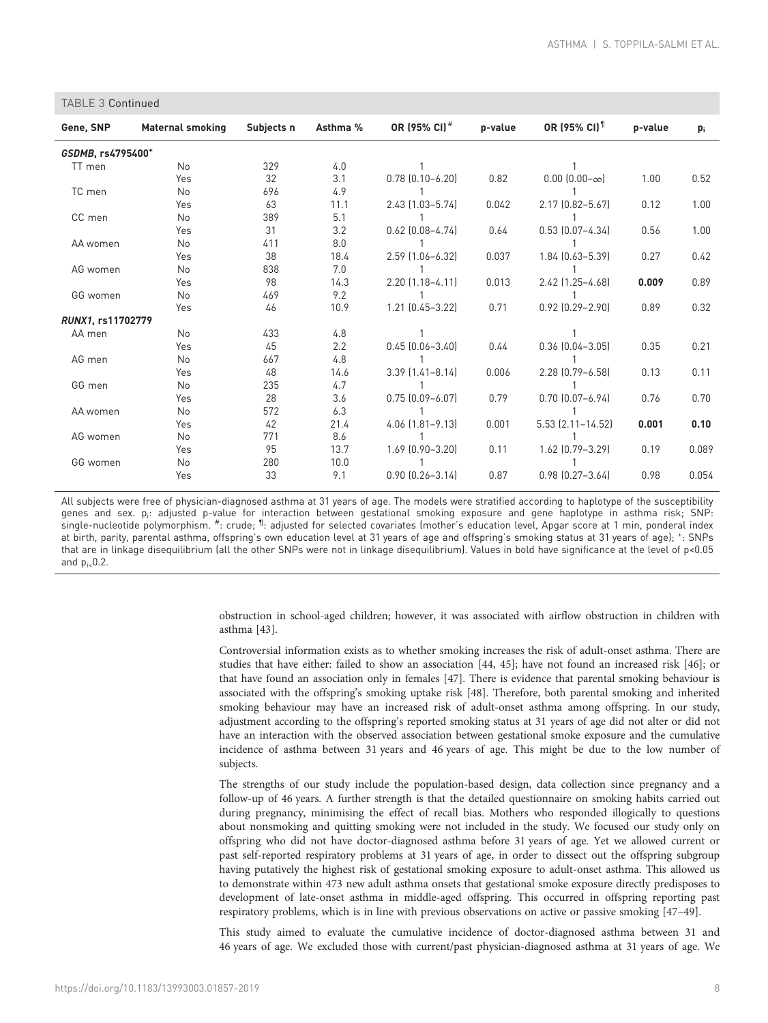# TABLE 3 Continued Gene, SNP Maternal smoking Subjects n Asthma % OR (95% CI)<sup>#</sup> p-value OR (95% CI)<sup>1</sup> p-value p<sub>i</sub> GSDMB, rs4795400+ TT men No 329 4.0 1 1 Yes 32 3.1 0.78 (0.10–6.20) 0.82 0.00 (0.00–∞) 1.00 0.52 TC men No 696 4.9 1 1 Yes 63 11.1 2.43 (1.03–5.74) 0.042 2.17 (0.82–5.67) 0.12 1.00 CC men No 389 5.1 1 1 Yes 31 3.2 0.62 (0.08–4.74) 0.64 0.53 (0.07–4.34) 0.56 1.00 AA women No 411 8.0 1 1 Yes 38 18.4 2.59 (1.06–6.32) 0.037 1.84 (0.63–5.39) 0.27 0.42 AG women No 838 7.0 1 1 Yes 98 14.3 2.20 (1.18–4.11) 0.013 2.42 (1.25–4.68) 0.009 0.89 GG women No 469 9.2 1 1 1 1 Yes 46 10.9 1.21 (0.45–3.22) 0.71 0.92 (0.29–2.90) 0.89 0.32 RUNX1, rs11702779 AA men No 433 4.8 1 1 Yes 45 2.2 0.45 (0.06–3.40) 0.44 0.36 (0.04–3.05) 0.35 0.21 AG men No 667 4.8 1 1 Yes 48 14.6 3.39 (1.41–8.14) 0.006 2.28 (0.79–6.58) 0.13 0.11 GG men No 235 4.7 1 1 Yes 28 3.6 0.75 (0.09–6.07) 0.79 0.70 (0.07–6.94) 0.76 0.70 AA women No 572 6.3 1 1 Yes 42 21.4 4.06 (1.81–9.13) 0.001 5.53 (2.11–14.52) 0.001 0.10 AG women No 771 8.6 1 1 Yes 95 13.7 1.69 (0.90–3.20) 0.11 1.62 (0.79–3.29) 0.19 0.089 GG women No 280 10.0 1 1 Yes 33 9.1 0.90 (0.26–3.14) 0.87 0.98 (0.27–3.64) 0.98 0.054

All subjects were free of physician-diagnosed asthma at 31 years of age. The models were stratified according to haplotype of the susceptibility genes and sex. p<sub>i</sub>: adjusted p-value for interaction between gestational smoking exposure and gene haplotype in asthma risk; SNP: single-nucleotide polymorphism. #: crude; 1: adjusted for selected covariates (mother's education level, Apgar score at 1 min, ponderal index at birth, parity, parental asthma, offspring's own education level at 31 years of age and offspring's smoking status at 31 years of age); <sup>+</sup> : SNPs that are in linkage disequilibrium (all the other SNPs were not in linkage disequilibrium). Values in bold have significance at the level of p<0.05 and  $p_{i\epsilon}$ 0.2.

> obstruction in school-aged children; however, it was associated with airflow obstruction in children with asthma [[43](#page-10-0)].

> Controversial information exists as to whether smoking increases the risk of adult-onset asthma. There are studies that have either: failed to show an association [[44, 45\]](#page-10-0); have not found an increased risk [[46](#page-10-0)]; or that have found an association only in females [\[47\]](#page-10-0). There is evidence that parental smoking behaviour is associated with the offspring's smoking uptake risk [\[48\]](#page-10-0). Therefore, both parental smoking and inherited smoking behaviour may have an increased risk of adult-onset asthma among offspring. In our study, adjustment according to the offspring's reported smoking status at 31 years of age did not alter or did not have an interaction with the observed association between gestational smoke exposure and the cumulative incidence of asthma between 31 years and 46 years of age. This might be due to the low number of subjects.

> The strengths of our study include the population-based design, data collection since pregnancy and a follow-up of 46 years. A further strength is that the detailed questionnaire on smoking habits carried out during pregnancy, minimising the effect of recall bias. Mothers who responded illogically to questions about nonsmoking and quitting smoking were not included in the study. We focused our study only on offspring who did not have doctor-diagnosed asthma before 31 years of age. Yet we allowed current or past self-reported respiratory problems at 31 years of age, in order to dissect out the offspring subgroup having putatively the highest risk of gestational smoking exposure to adult-onset asthma. This allowed us to demonstrate within 473 new adult asthma onsets that gestational smoke exposure directly predisposes to development of late-onset asthma in middle-aged offspring. This occurred in offspring reporting past respiratory problems, which is in line with previous observations on active or passive smoking [\[47](#page-10-0)–[49\]](#page-10-0).

> This study aimed to evaluate the cumulative incidence of doctor-diagnosed asthma between 31 and 46 years of age. We excluded those with current/past physician-diagnosed asthma at 31 years of age. We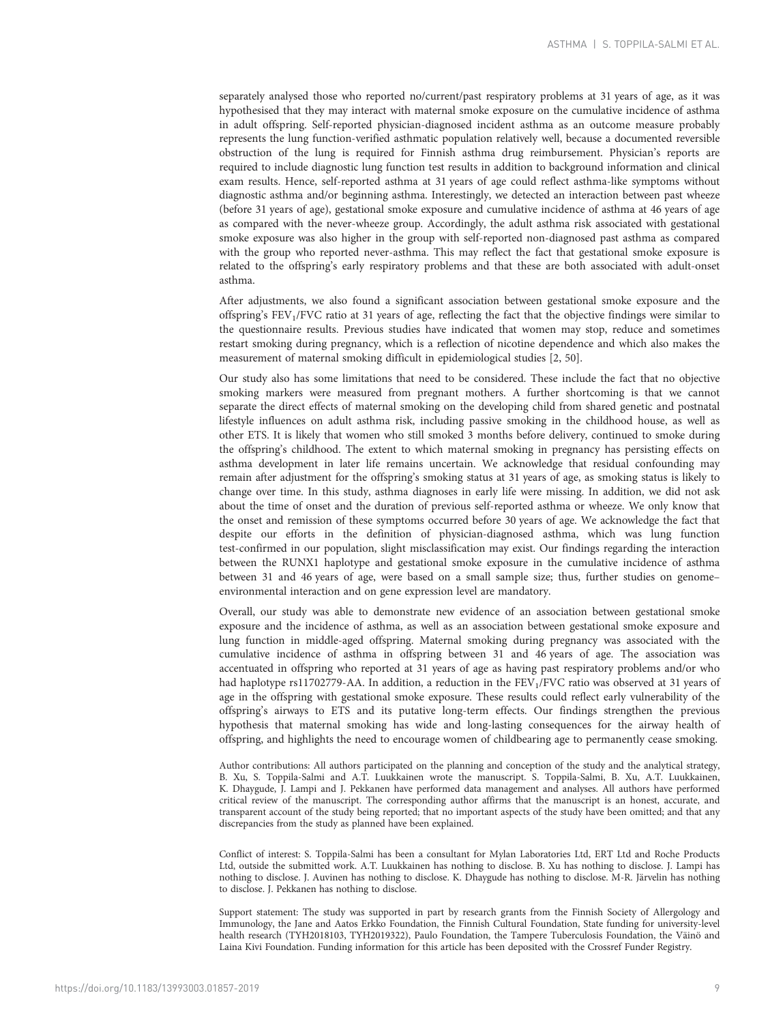separately analysed those who reported no/current/past respiratory problems at 31 years of age, as it was hypothesised that they may interact with maternal smoke exposure on the cumulative incidence of asthma in adult offspring. Self-reported physician-diagnosed incident asthma as an outcome measure probably represents the lung function-verified asthmatic population relatively well, because a documented reversible obstruction of the lung is required for Finnish asthma drug reimbursement. Physician's reports are required to include diagnostic lung function test results in addition to background information and clinical exam results. Hence, self-reported asthma at 31 years of age could reflect asthma-like symptoms without diagnostic asthma and/or beginning asthma. Interestingly, we detected an interaction between past wheeze (before 31 years of age), gestational smoke exposure and cumulative incidence of asthma at 46 years of age as compared with the never-wheeze group. Accordingly, the adult asthma risk associated with gestational smoke exposure was also higher in the group with self-reported non-diagnosed past asthma as compared with the group who reported never-asthma. This may reflect the fact that gestational smoke exposure is related to the offspring's early respiratory problems and that these are both associated with adult-onset asthma.

After adjustments, we also found a significant association between gestational smoke exposure and the offspring's FEV1/FVC ratio at 31 years of age, reflecting the fact that the objective findings were similar to the questionnaire results. Previous studies have indicated that women may stop, reduce and sometimes restart smoking during pregnancy, which is a reflection of nicotine dependence and which also makes the measurement of maternal smoking difficult in epidemiological studies [\[2,](#page-9-0) [50\]](#page-10-0).

Our study also has some limitations that need to be considered. These include the fact that no objective smoking markers were measured from pregnant mothers. A further shortcoming is that we cannot separate the direct effects of maternal smoking on the developing child from shared genetic and postnatal lifestyle influences on adult asthma risk, including passive smoking in the childhood house, as well as other ETS. It is likely that women who still smoked 3 months before delivery, continued to smoke during the offspring's childhood. The extent to which maternal smoking in pregnancy has persisting effects on asthma development in later life remains uncertain. We acknowledge that residual confounding may remain after adjustment for the offspring's smoking status at 31 years of age, as smoking status is likely to change over time. In this study, asthma diagnoses in early life were missing. In addition, we did not ask about the time of onset and the duration of previous self-reported asthma or wheeze. We only know that the onset and remission of these symptoms occurred before 30 years of age. We acknowledge the fact that despite our efforts in the definition of physician-diagnosed asthma, which was lung function test-confirmed in our population, slight misclassification may exist. Our findings regarding the interaction between the RUNX1 haplotype and gestational smoke exposure in the cumulative incidence of asthma between 31 and 46 years of age, were based on a small sample size; thus, further studies on genome– environmental interaction and on gene expression level are mandatory.

Overall, our study was able to demonstrate new evidence of an association between gestational smoke exposure and the incidence of asthma, as well as an association between gestational smoke exposure and lung function in middle-aged offspring. Maternal smoking during pregnancy was associated with the cumulative incidence of asthma in offspring between 31 and 46 years of age. The association was accentuated in offspring who reported at 31 years of age as having past respiratory problems and/or who had haplotype rs11702779-AA. In addition, a reduction in the FEV<sub>1</sub>/FVC ratio was observed at 31 years of age in the offspring with gestational smoke exposure. These results could reflect early vulnerability of the offspring's airways to ETS and its putative long-term effects. Our findings strengthen the previous hypothesis that maternal smoking has wide and long-lasting consequences for the airway health of offspring, and highlights the need to encourage women of childbearing age to permanently cease smoking.

Author contributions: All authors participated on the planning and conception of the study and the analytical strategy, B. Xu, S. Toppila-Salmi and A.T. Luukkainen wrote the manuscript. S. Toppila-Salmi, B. Xu, A.T. Luukkainen, K. Dhaygude, J. Lampi and J. Pekkanen have performed data management and analyses. All authors have performed critical review of the manuscript. The corresponding author affirms that the manuscript is an honest, accurate, and transparent account of the study being reported; that no important aspects of the study have been omitted; and that any discrepancies from the study as planned have been explained.

Conflict of interest: S. Toppila-Salmi has been a consultant for Mylan Laboratories Ltd, ERT Ltd and Roche Products Ltd, outside the submitted work. A.T. Luukkainen has nothing to disclose. B. Xu has nothing to disclose. J. Lampi has nothing to disclose. J. Auvinen has nothing to disclose. K. Dhaygude has nothing to disclose. M-R. Järvelin has nothing to disclose. J. Pekkanen has nothing to disclose.

Support statement: The study was supported in part by research grants from the Finnish Society of Allergology and Immunology, the Jane and Aatos Erkko Foundation, the Finnish Cultural Foundation, State funding for university-level health research (TYH2018103, TYH2019322), Paulo Foundation, the Tampere Tuberculosis Foundation, the Väinö and Laina Kivi Foundation. Funding information for this article has been deposited with the [Crossref Funder Registry](https://www.crossref.org/services/funder-registry/).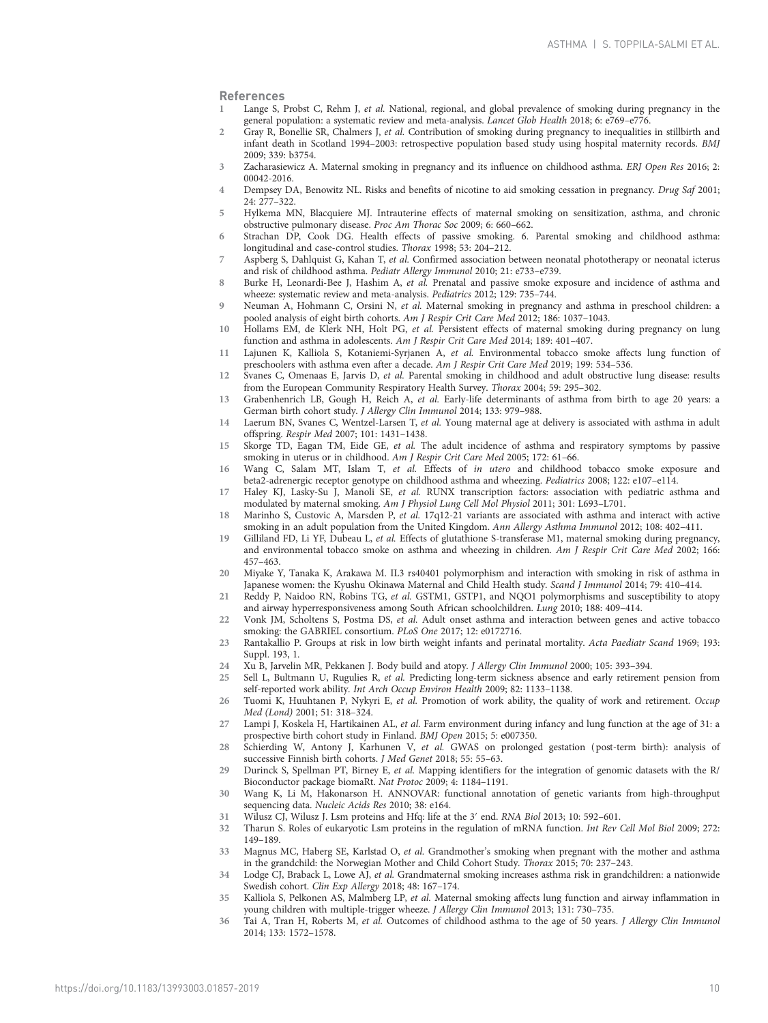#### <span id="page-9-0"></span>References

- Lange S, Probst C, Rehm J, et al. National, regional, and global prevalence of smoking during pregnancy in the general population: a systematic review and meta-analysis. Lancet Glob Health 2018; 6: e769–e776.
- 2 Gray R, Bonellie SR, Chalmers J, et al. Contribution of smoking during pregnancy to inequalities in stillbirth and infant death in Scotland 1994–2003: retrospective population based study using hospital maternity records. BMJ 2009; 339: b3754.
- 3 Zacharasiewicz A. Maternal smoking in pregnancy and its influence on childhood asthma. ERJ Open Res 2016; 2: 00042-2016.
- 4 Dempsey DA, Benowitz NL. Risks and benefits of nicotine to aid smoking cessation in pregnancy. Drug Saf 2001; 24: 277–322.
- 5 Hylkema MN, Blacquiere MJ. Intrauterine effects of maternal smoking on sensitization, asthma, and chronic obstructive pulmonary disease. Proc Am Thorac Soc 2009; 6: 660–662.
- 6 Strachan DP, Cook DG. Health effects of passive smoking. 6. Parental smoking and childhood asthma: longitudinal and case-control studies. Thorax 1998; 53: 204–212.
- 7 Aspberg S, Dahlquist G, Kahan T, et al. Confirmed association between neonatal phototherapy or neonatal icterus and risk of childhood asthma. Pediatr Allergy Immunol 2010; 21: e733–e739.
- 8 Burke H, Leonardi-Bee J, Hashim A, et al. Prenatal and passive smoke exposure and incidence of asthma and wheeze: systematic review and meta-analysis. Pediatrics 2012; 129: 735–744.
- 9 Neuman A, Hohmann C, Orsini N, et al. Maternal smoking in pregnancy and asthma in preschool children: a pooled analysis of eight birth cohorts. Am J Respir Crit Care Med 2012; 186: 1037-1043.
- 10 Hollams EM, de Klerk NH, Holt PG, et al. Persistent effects of maternal smoking during pregnancy on lung function and asthma in adolescents. Am J Respir Crit Care Med 2014; 189: 401–407.
- 11 Lajunen K, Kalliola S, Kotaniemi-Syrjanen A, et al. Environmental tobacco smoke affects lung function of preschoolers with asthma even after a decade. Am J Respir Crit Care Med 2019; 199: 534–536.
- 12 Svanes C, Omenaas E, Jarvis D, et al. Parental smoking in childhood and adult obstructive lung disease: results from the European Community Respiratory Health Survey. Thorax 2004; 59: 295–302.
- 13 Grabenhenrich LB, Gough H, Reich A, et al. Early-life determinants of asthma from birth to age 20 years: a German birth cohort study. J Allergy Clin Immunol 2014; 133: 979–988.
- 14 Laerum BN, Svanes C, Wentzel-Larsen T, et al. Young maternal age at delivery is associated with asthma in adult offspring. Respir Med 2007; 101: 1431–1438.
- 15 Skorge TD, Eagan TM, Eide GE, et al. The adult incidence of asthma and respiratory symptoms by passive smoking in uterus or in childhood. Am J Respir Crit Care Med 2005; 172: 61–66.
- 16 Wang C, Salam MT, Islam T, et al. Effects of in utero and childhood tobacco smoke exposure and beta2-adrenergic receptor genotype on childhood asthma and wheezing. Pediatrics 2008; 122: e107–e114.
- 17 Haley KJ, Lasky-Su J, Manoli SE, et al. RUNX transcription factors: association with pediatric asthma and modulated by maternal smoking. Am J Physiol Lung Cell Mol Physiol 2011; 301: L693–L701.
- 18 Marinho S, Custovic A, Marsden P, et al. 17q12-21 variants are associated with asthma and interact with active smoking in an adult population from the United Kingdom. Ann Allergy Asthma Immunol 2012; 108: 402–411.
- 19 Gilliland FD, Li YF, Dubeau L, et al. Effects of glutathione S-transferase M1, maternal smoking during pregnancy, and environmental tobacco smoke on asthma and wheezing in children. Am J Respir Crit Care Med 2002; 166: 457–463.
- 20 Miyake Y, Tanaka K, Arakawa M. IL3 rs40401 polymorphism and interaction with smoking in risk of asthma in Japanese women: the Kyushu Okinawa Maternal and Child Health study. Scand J Immunol 2014; 79: 410–414.
- 21 Reddy P, Naidoo RN, Robins TG, et al. GSTM1, GSTP1, and NQO1 polymorphisms and susceptibility to atopy and airway hyperresponsiveness among South African schoolchildren. Lung 2010; 188: 409–414.
- 22 Vonk JM, Scholtens S, Postma DS, et al. Adult onset asthma and interaction between genes and active tobacco smoking: the GABRIEL consortium. PLoS One 2017; 12: e0172716.
- 23 Rantakallio P. Groups at risk in low birth weight infants and perinatal mortality. Acta Paediatr Scand 1969; 193: Suppl. 193, 1.
- 24 Xu B, Jarvelin MR, Pekkanen J. Body build and atopy. J Allergy Clin Immunol 2000; 105: 393–394.
- 25 Sell L, Bultmann U, Rugulies R, et al. Predicting long-term sickness absence and early retirement pension from self-reported work ability. Int Arch Occup Environ Health 2009; 82: 1133–1138.
- 26 Tuomi K, Huuhtanen P, Nykyri E, et al. Promotion of work ability, the quality of work and retirement. Occup Med (Lond) 2001; 51: 318–324.
- 27 Lampi J, Koskela H, Hartikainen AL, et al. Farm environment during infancy and lung function at the age of 31: a prospective birth cohort study in Finland. BMJ Open 2015; 5: e007350.
- 28 Schierding W, Antony J, Karhunen V, et al. GWAS on prolonged gestation (post-term birth): analysis of successive Finnish birth cohorts. J Med Genet 2018; 55: 55–63.
- 29 Durinck S, Spellman PT, Birney E, et al. Mapping identifiers for the integration of genomic datasets with the R/ Bioconductor package biomaRt. Nat Protoc 2009; 4: 1184–1191.
- 30 Wang K, Li M, Hakonarson H. ANNOVAR: functional annotation of genetic variants from high-throughput sequencing data. Nucleic Acids Res 2010; 38: e164.
- 31 Wilusz CJ, Wilusz J. Lsm proteins and Hfq: life at the 3′ end. RNA Biol 2013; 10: 592–601.
- 32 Tharun S. Roles of eukaryotic Lsm proteins in the regulation of mRNA function. Int Rev Cell Mol Biol 2009; 272: 149–189.
- 33 Magnus MC, Haberg SE, Karlstad O, et al. Grandmother's smoking when pregnant with the mother and asthma in the grandchild: the Norwegian Mother and Child Cohort Study. Thorax 2015; 70: 237–243.
- 34 Lodge CJ, Braback L, Lowe AJ, et al. Grandmaternal smoking increases asthma risk in grandchildren: a nationwide Swedish cohort. Clin Exp Allergy 2018; 48: 167–174.
- 35 Kalliola S, Pelkonen AS, Malmberg LP, et al. Maternal smoking affects lung function and airway inflammation in young children with multiple-trigger wheeze. J Allergy Clin Immunol 2013; 131: 730–735.
- 36 Tai A, Tran H, Roberts M, et al. Outcomes of childhood asthma to the age of 50 years. J Allergy Clin Immunol 2014; 133: 1572–1578.